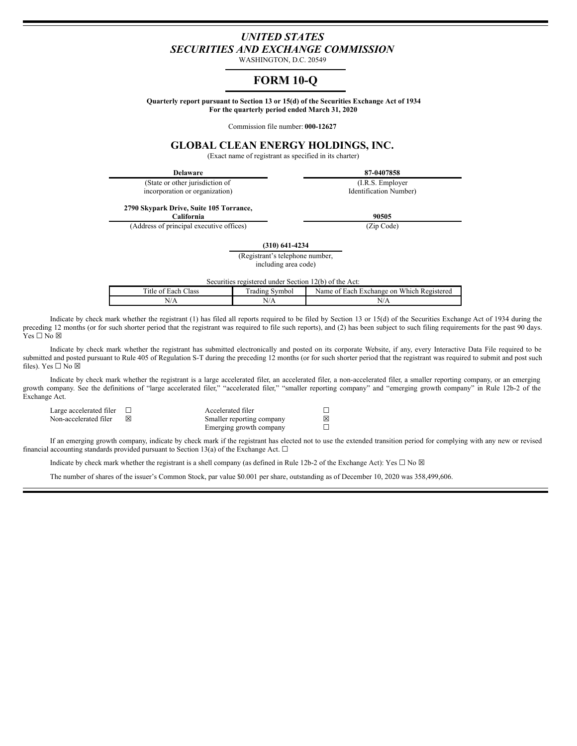# *UNITED STATES SECURITIES AND EXCHANGE COMMISSION*

WASHINGTON, D.C. 20549

# **FORM 10-Q**

**Quarterly report pursuant to Section 13 or 15(d) of the Securities Exchange Act of 1934 For the quarterly period ended March 31, 2020**

Commission file number: **000-12627**

# **GLOBAL CLEAN ENERGY HOLDINGS, INC.**

(Exact name of registrant as specified in its charter)

**Delaware 87-0407858**

(State or other jurisdiction of incorporation or organization)

(I.R.S. Employer Identification Number)

**2790 Skypark Drive, Suite 105 Torrance,**

(Address of principal executive offices) (Zip Code)

**California 90505**

**(310) 641-4234**

(Registrant's telephone number, including area code)

Securities registered under Section 12(b) of the Act:

| Title of Each<br>$\sim$<br>Class | radıng<br>svmbol | Name of Each Exchange on Which Registered |
|----------------------------------|------------------|-------------------------------------------|
| N<br>1 V / 7 1                   | N/A              | N/A                                       |

Indicate by check mark whether the registrant (1) has filed all reports required to be filed by Section 13 or 15(d) of the Securities Exchange Act of 1934 during the preceding 12 months (or for such shorter period that the registrant was required to file such reports), and (2) has been subject to such filing requirements for the past 90 days.  $Yes \Box No \boxtimes$ 

Indicate by check mark whether the registrant has submitted electronically and posted on its corporate Website, if any, every Interactive Data File required to be submitted and posted pursuant to Rule 405 of Regulation S-T during the preceding 12 months (or for such shorter period that the registrant was required to submit and post such files). Yes  $\square$  No  $\boxtimes$ 

Indicate by check mark whether the registrant is a large accelerated filer, an accelerated filer, a non-accelerated filer, a smaller reporting company, or an emerging growth company. See the definitions of "large accelerated filer," "accelerated filer," "smaller reporting company" and "emerging growth company" in Rule 12b-2 of the Exchange Act.

Large accelerated filer <del>□</del><br>Non-accelerated filer **□** Accelerated filer **□** Accelerated filer

Smaller reporting company Emerging growth company

If an emerging growth company, indicate by check mark if the registrant has elected not to use the extended transition period for complying with any new or revised financial accounting standards provided pursuant to Section 13(a) of the Exchange Act.  $\Box$ 

Indicate by check mark whether the registrant is a shell company (as defined in Rule 12b-2 of the Exchange Act): Yes  $\Box$  No  $\boxtimes$ 

The number of shares of the issuer's Common Stock, par value \$0.001 per share, outstanding as of December 10, 2020 was 358,499,606.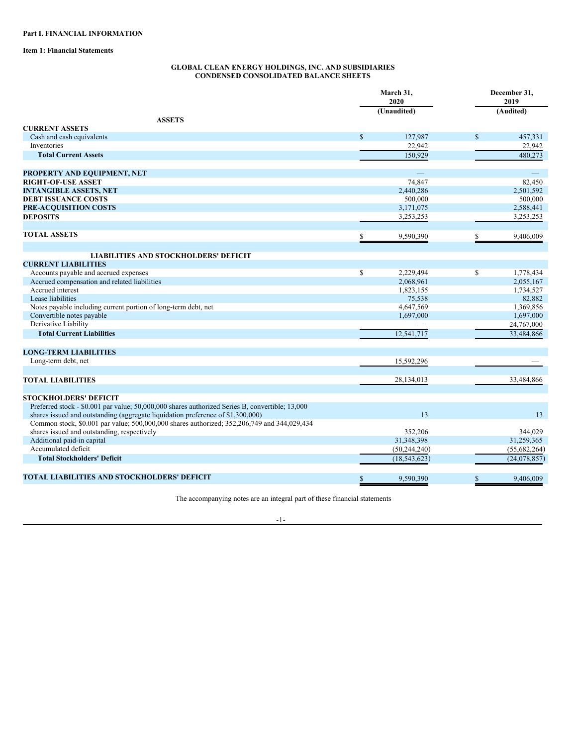**Item 1: Financial Statements**

### **GLOBAL CLEAN ENERGY HOLDINGS, INC. AND SUBSIDIARIES CONDENSED CONSOLIDATED BALANCE SHEETS**

|                                                                                                 |              | March 31,<br>2020 |             | December 31,<br>2019 |
|-------------------------------------------------------------------------------------------------|--------------|-------------------|-------------|----------------------|
|                                                                                                 |              | (Unaudited)       |             | (Audited)            |
| <b>ASSETS</b>                                                                                   |              |                   |             |                      |
| <b>CURRENT ASSETS</b><br>Cash and cash equivalents                                              | $\mathbb{S}$ | 127,987           | $\mathbf S$ | 457,331              |
| Inventories                                                                                     |              | 22,942            |             | 22,942               |
| <b>Total Current Assets</b>                                                                     |              |                   |             |                      |
|                                                                                                 |              | 150,929           |             | 480,273              |
| PROPERTY AND EQUIPMENT, NET                                                                     |              |                   |             |                      |
| <b>RIGHT-OF-USE ASSET</b>                                                                       |              | 74,847            |             | 82,450               |
| <b>INTANGIBLE ASSETS, NET</b>                                                                   |              | 2,440,286         |             | 2.501.592            |
| <b>DEBT ISSUANCE COSTS</b>                                                                      |              | 500,000           |             | 500,000              |
| <b>PRE-ACQUISITION COSTS</b>                                                                    |              | 3,171,075         |             | 2,588,441            |
| <b>DEPOSITS</b>                                                                                 |              | 3,253,253         |             | 3,253,253            |
|                                                                                                 |              |                   |             |                      |
| <b>TOTAL ASSETS</b>                                                                             |              | 9,590,390         |             | 9,406,009            |
|                                                                                                 |              |                   |             |                      |
| <b>LIABILITIES AND STOCKHOLDERS' DEFICIT</b><br><b>CURRENT LIABILITIES</b>                      |              |                   |             |                      |
| Accounts payable and accrued expenses                                                           | \$           | 2,229,494         | \$          | 1,778,434            |
| Accrued compensation and related liabilities                                                    |              | 2,068,961         |             | 2,055,167            |
| Accrued interest                                                                                |              | 1,823,155         |             | 1,734,527            |
| Lease liabilities                                                                               |              | 75,538            |             | 82,882               |
| Notes payable including current portion of long-term debt, net                                  |              | 4,647,569         |             | 1,369,856            |
| Convertible notes payable                                                                       |              | 1,697,000         |             | 1,697,000            |
| Derivative Liability                                                                            |              |                   |             | 24,767,000           |
| <b>Total Current Liabilities</b>                                                                |              | 12,541,717        |             | 33,484,866           |
|                                                                                                 |              |                   |             |                      |
| <b>LONG-TERM LIABILITIES</b>                                                                    |              |                   |             |                      |
| Long-term debt, net                                                                             |              | 15,592,296        |             |                      |
|                                                                                                 |              | 28,134,013        |             | 33,484,866           |
| <b>TOTAL LIABILITIES</b>                                                                        |              |                   |             |                      |
| <b>STOCKHOLDERS' DEFICIT</b>                                                                    |              |                   |             |                      |
| Preferred stock - \$0.001 par value; 50,000,000 shares authorized Series B, convertible; 13,000 |              |                   |             |                      |
| shares issued and outstanding (aggregate liquidation preference of \$1,300,000)                 |              | 13                |             | 13                   |
| Common stock, \$0.001 par value; 500,000,000 shares authorized; 352,206,749 and 344,029,434     |              |                   |             |                      |
| shares issued and outstanding, respectively                                                     |              | 352,206           |             | 344,029              |
| Additional paid-in capital                                                                      |              | 31,348,398        |             | 31,259,365           |
| Accumulated deficit                                                                             |              | (50, 244, 240)    |             | (55,682,264)         |
| <b>Total Stockholders' Deficit</b>                                                              |              | (18, 543, 623)    |             | (24,078,857)         |
|                                                                                                 |              |                   |             |                      |
| TOTAL LIABILITIES AND STOCKHOLDERS' DEFICIT                                                     | $\mathbb{S}$ | 9,590,390         | \$          | 9,406,009            |

The accompanying notes are an integral part of these financial statements

-1-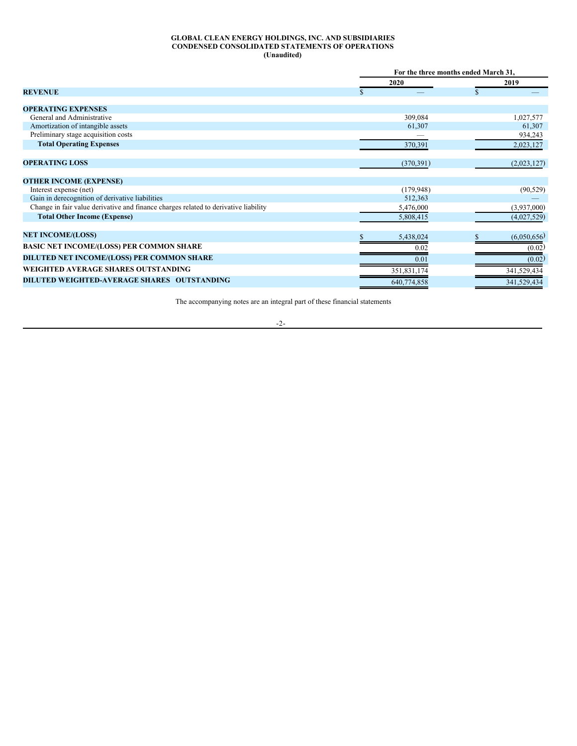#### **GLOBAL CLEAN ENERGY HOLDINGS, INC. AND SUBSIDIARIES CONDENSED CONSOLIDATED STATEMENTS OF OPERATIONS (Unaudited)**

|                                                                                     |             | For the three months ended March 31, |  |  |  |  |
|-------------------------------------------------------------------------------------|-------------|--------------------------------------|--|--|--|--|
|                                                                                     | 2020        | 2019                                 |  |  |  |  |
| <b>REVENUE</b>                                                                      |             |                                      |  |  |  |  |
| <b>OPERATING EXPENSES</b>                                                           |             |                                      |  |  |  |  |
| General and Administrative                                                          | 309,084     | 1,027,577                            |  |  |  |  |
| Amortization of intangible assets                                                   | 61,307      | 61,307                               |  |  |  |  |
| Preliminary stage acquisition costs                                                 |             | 934,243                              |  |  |  |  |
| <b>Total Operating Expenses</b>                                                     | 370,391     | 2,023,127                            |  |  |  |  |
| <b>OPERATING LOSS</b>                                                               | (370, 391)  | (2,023,127)                          |  |  |  |  |
| <b>OTHER INCOME (EXPENSE)</b>                                                       |             |                                      |  |  |  |  |
| Interest expense (net)                                                              | (179, 948)  | (90, 529)                            |  |  |  |  |
| Gain in derecognition of derivative liabilities                                     | 512,363     |                                      |  |  |  |  |
| Change in fair value derivative and finance charges related to derivative liability | 5,476,000   | (3,937,000)                          |  |  |  |  |
| <b>Total Other Income (Expense)</b>                                                 | 5,808,415   | (4,027,529)                          |  |  |  |  |
| <b>NET INCOME/(LOSS)</b>                                                            | 5,438,024   | (6,050,656)                          |  |  |  |  |
| <b>BASIC NET INCOME/(LOSS) PER COMMON SHARE</b>                                     | 0.02        | (0.02)                               |  |  |  |  |
| <b>DILUTED NET INCOME/(LOSS) PER COMMON SHARE</b>                                   | 0.01        | (0.02)                               |  |  |  |  |
| WEIGHTED AVERAGE SHARES OUTSTANDING                                                 | 351,831,174 | 341,529,434                          |  |  |  |  |
| DILUTED WEIGHTED-AVERAGE SHARES OUTSTANDING                                         | 640,774,858 | 341,529,434                          |  |  |  |  |

The accompanying notes are an integral part of these financial statements

-2-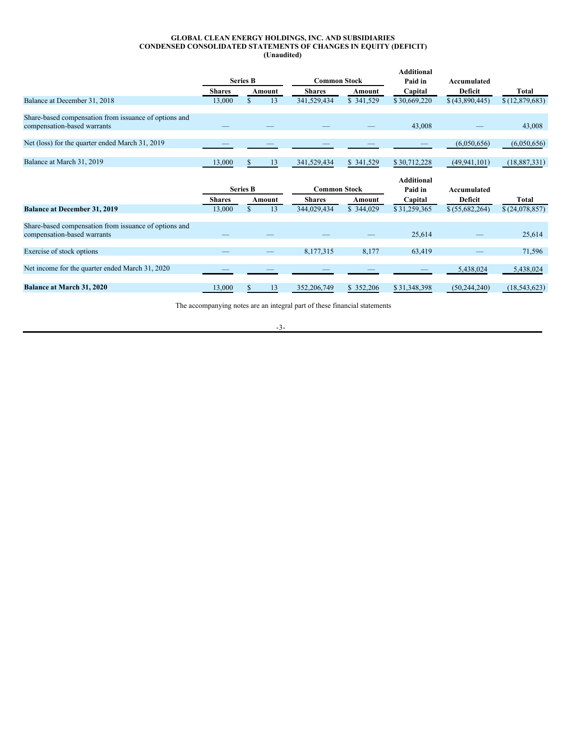#### **GLOBAL CLEAN ENERGY HOLDINGS, INC. AND SUBSIDIARIES CONDENSED CONSOLIDATED STATEMENTS OF CHANGES IN EQUITY (DEFICIT) (Unaudited)**

|                                                                                      |               |                 |        |                     |            | <b>Additional</b> |                 |                |
|--------------------------------------------------------------------------------------|---------------|-----------------|--------|---------------------|------------|-------------------|-----------------|----------------|
|                                                                                      |               | <b>Series B</b> |        | <b>Common Stock</b> |            | Paid in           | Accumulated     |                |
|                                                                                      | <b>Shares</b> |                 | Amount | <b>Shares</b>       | Amount     | Capital           | Deficit         | <b>Total</b>   |
| Balance at December 31, 2018                                                         | 13,000        | $\mathbb{S}$    | 13     | 341,529,434         | \$ 341,529 | \$30,669,220      | \$(43,890,445)  | \$(12,879,683) |
| Share-based compensation from issuance of options and<br>compensation-based warrants |               |                 |        |                     |            | 43,008            |                 | 43,008         |
| Net (loss) for the quarter ended March 31, 2019                                      |               |                 |        |                     |            |                   | (6,050,656)     | (6,050,656)    |
| Balance at March 31, 2019                                                            | 13,000        | \$.             | 13     | 341,529,434         | \$ 341,529 | \$30,712,228      | (49, 941, 101)  | (18, 887, 331) |
|                                                                                      |               |                 |        |                     |            | <b>Additional</b> |                 |                |
|                                                                                      |               | <b>Series B</b> |        | <b>Common Stock</b> |            | Paid in           | Accumulated     |                |
|                                                                                      | <b>Shares</b> |                 | Amount | <b>Shares</b>       | Amount     | Capital           | Deficit         | Total          |
| <b>Balance at December 31, 2019</b>                                                  | 13,000        | \$.             | 13     | 344,029,434         | \$344,029  | \$31,259,365      | \$ (55,682,264) | \$(24,078,857) |
| Share-based compensation from issuance of options and<br>compensation-based warrants |               |                 |        |                     |            | 25,614            |                 | 25,614         |
| Exercise of stock options                                                            |               |                 |        | 8,177,315           | 8,177      | 63,419            |                 | 71,596         |
| Net income for the quarter ended March 31, 2020                                      |               |                 |        |                     |            |                   | 5,438,024       | 5,438,024      |

The accompanying notes are an integral part of these financial statements

-3-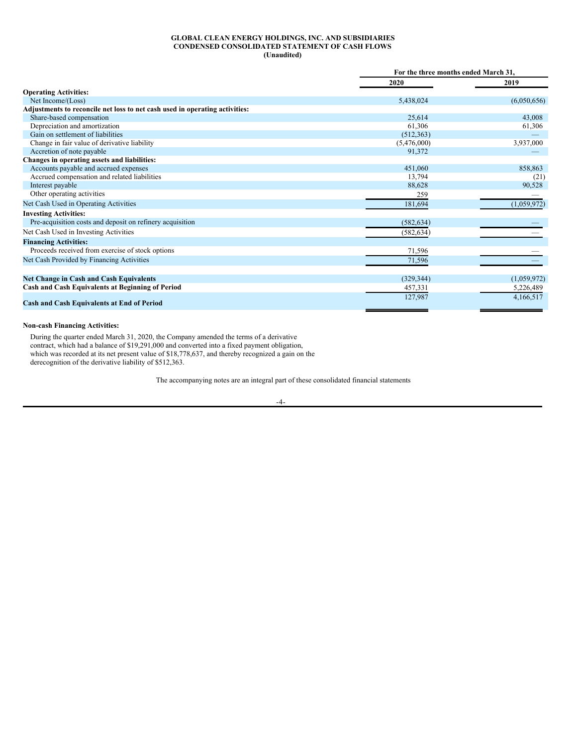### **GLOBAL CLEAN ENERGY HOLDINGS, INC. AND SUBSIDIARIES CONDENSED CONSOLIDATED STATEMENT OF CASH FLOWS (Unaudited)**

|                                                                             | For the three months ended March 31, |             |  |
|-----------------------------------------------------------------------------|--------------------------------------|-------------|--|
|                                                                             | 2020                                 | 2019        |  |
| <b>Operating Activities:</b>                                                |                                      |             |  |
| Net Income/(Loss)                                                           | 5,438,024                            | (6,050,656) |  |
| Adjustments to reconcile net loss to net cash used in operating activities: |                                      |             |  |
| Share-based compensation                                                    | 25,614                               | 43,008      |  |
| Depreciation and amortization                                               | 61,306                               | 61,306      |  |
| Gain on settlement of liabilities                                           | (512, 363)                           |             |  |
| Change in fair value of derivative liability                                | (5,476,000)                          | 3,937,000   |  |
| Accretion of note payable                                                   | 91,372                               |             |  |
| Changes in operating assets and liabilities:                                |                                      |             |  |
| Accounts payable and accrued expenses                                       | 451,060                              | 858,863     |  |
| Accrued compensation and related liabilities                                | 13,794                               | (21)        |  |
| Interest payable                                                            | 88,628                               | 90,528      |  |
| Other operating activities                                                  | 259                                  |             |  |
| Net Cash Used in Operating Activities                                       | 181,694                              | (1,059,972) |  |
| <b>Investing Activities:</b>                                                |                                      |             |  |
| Pre-acquisition costs and deposit on refinery acquisition                   | (582, 634)                           |             |  |
| Net Cash Used in Investing Activities                                       | (582, 634)                           |             |  |
| <b>Financing Activities:</b>                                                |                                      |             |  |
| Proceeds received from exercise of stock options                            | 71,596                               |             |  |
| Net Cash Provided by Financing Activities                                   | 71,596                               |             |  |
| <b>Net Change in Cash and Cash Equivalents</b>                              | (329, 344)                           | (1,059,972) |  |
| Cash and Cash Equivalents at Beginning of Period                            | 457,331                              | 5,226,489   |  |
| <b>Cash and Cash Equivalents at End of Period</b>                           | 127,987                              | 4,166,517   |  |

### **Non-cash Financing Activities:**

During the quarter ended March 31, 2020, the Company amended the terms of a derivative contract, which had a balance of \$19,291,000 and converted into a fixed payment obligation, which was recorded at its net present value of \$18,778,637, and thereby recognized a gain on the derecognition of the derivative liability of \$512,363.

The accompanying notes are an integral part of these consolidated financial statements

$$
-4-
$$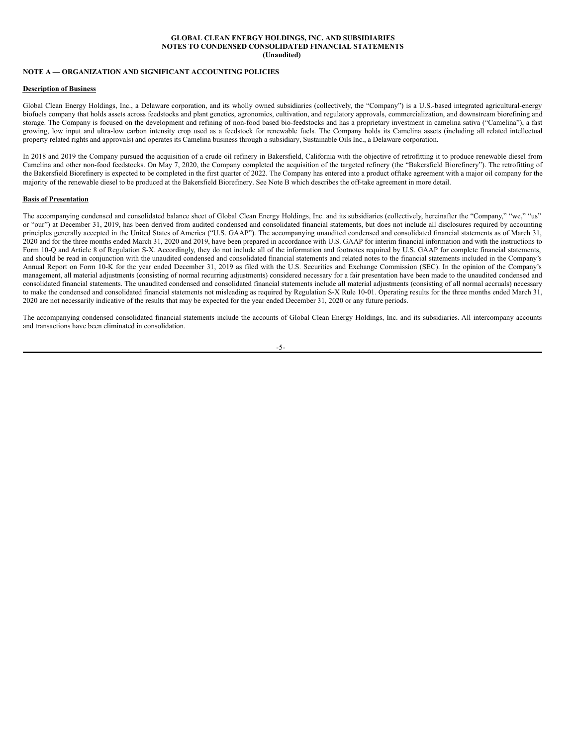## **NOTE A — ORGANIZATION AND SIGNIFICANT ACCOUNTING POLICIES**

### **Description of Business**

Global Clean Energy Holdings, Inc., a Delaware corporation, and its wholly owned subsidiaries (collectively, the "Company") is a U.S.-based integrated agricultural-energy biofuels company that holds assets across feedstocks and plant genetics, agronomics, cultivation, and regulatory approvals, commercialization, and downstream biorefining and storage. The Company is focused on the development and refining of non-food based bio-feedstocks and has a proprietary investment in camelina sativa ("Camelina"), a fast growing, low input and ultra-low carbon intensity crop used as a feedstock for renewable fuels. The Company holds its Camelina assets (including all related intellectual property related rights and approvals) and operates its Camelina business through a subsidiary, Sustainable Oils Inc., a Delaware corporation.

In 2018 and 2019 the Company pursued the acquisition of a crude oil refinery in Bakersfield, California with the objective of retrofitting it to produce renewable diesel from Camelina and other non-food feedstocks. On May 7, 2020, the Company completed the acquisition of the targeted refinery (the "Bakersfield Biorefinery"). The retrofitting of the Bakersfield Biorefinery is expected to be completed in the first quarter of 2022. The Company has entered into a product offtake agreement with a major oil company for the majority of the renewable diesel to be produced at the Bakersfield Biorefinery. See Note B which describes the off-take agreement in more detail.

#### **Basis of Presentation**

The accompanying condensed and consolidated balance sheet of Global Clean Energy Holdings, Inc. and its subsidiaries (collectively, hereinafter the "Company," "we," "us" or "our") at December 31, 2019, has been derived from audited condensed and consolidated financial statements, but does not include all disclosures required by accounting principles generally accepted in the United States of America ("U.S. GAAP"). The accompanying unaudited condensed and consolidated financial statements as of March 31, 2020 and for the three months ended March 31, 2020 and 2019, have been prepared in accordance with U.S. GAAP for interim financial information and with the instructions to Form 10-Q and Article 8 of Regulation S-X. Accordingly, they do not include all of the information and footnotes required by U.S. GAAP for complete financial statements, and should be read in conjunction with the unaudited condensed and consolidated financial statements and related notes to the financial statements included in the Company's Annual Report on Form 10-K for the year ended December 31, 2019 as filed with the U.S. Securities and Exchange Commission (SEC). In the opinion of the Company's management, all material adjustments (consisting of normal recurring adjustments) considered necessary for a fair presentation have been made to the unaudited condensed and consolidated financial statements. The unaudited condensed and consolidated financial statements include all material adjustments (consisting of all normal accruals) necessary to make the condensed and consolidated financial statements not misleading as required by Regulation S-X Rule 10-01. Operating results for the three months ended March 31, 2020 are not necessarily indicative of the results that may be expected for the year ended December 31, 2020 or any future periods.

The accompanying condensed consolidated financial statements include the accounts of Global Clean Energy Holdings, Inc. and its subsidiaries. All intercompany accounts and transactions have been eliminated in consolidation.

-5-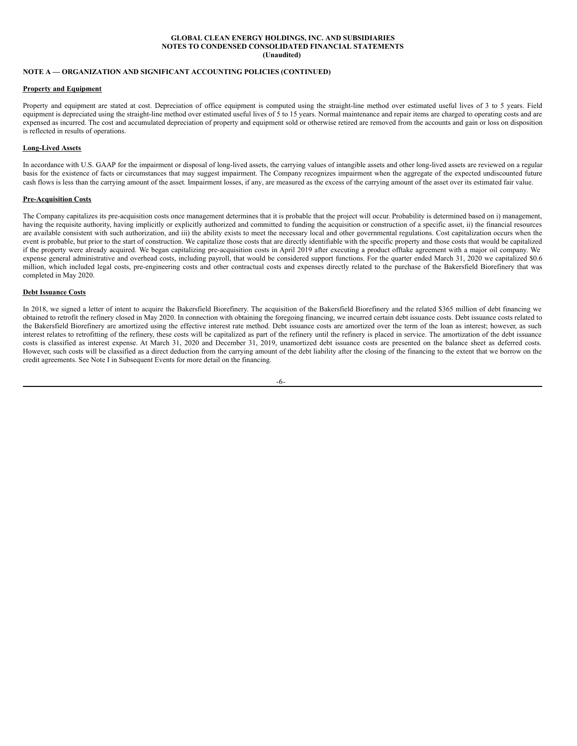# **NOTE A — ORGANIZATION AND SIGNIFICANT ACCOUNTING POLICIES (CONTINUED)**

### **Property and Equipment**

Property and equipment are stated at cost. Depreciation of office equipment is computed using the straight-line method over estimated useful lives of 3 to 5 years. Field equipment is depreciated using the straight-line method over estimated useful lives of 5 to 15 years. Normal maintenance and repair items are charged to operating costs and are expensed as incurred. The cost and accumulated depreciation of property and equipment sold or otherwise retired are removed from the accounts and gain or loss on disposition is reflected in results of operations.

### **Long-Lived Assets**

In accordance with U.S. GAAP for the impairment or disposal of long-lived assets, the carrying values of intangible assets and other long-lived assets are reviewed on a regular basis for the existence of facts or circumstances that may suggest impairment. The Company recognizes impairment when the aggregate of the expected undiscounted future cash flows is less than the carrying amount of the asset. Impairment losses, if any, are measured as the excess of the carrying amount of the asset over its estimated fair value.

### **Pre-Acquisition Costs**

The Company capitalizes its pre-acquisition costs once management determines that it is probable that the project will occur. Probability is determined based on i) management, having the requisite authority, having implicitly or explicitly authorized and committed to funding the acquisition or construction of a specific asset, ii) the financial resources are available consistent with such authorization, and iii) the ability exists to meet the necessary local and other governmental regulations. Cost capitalization occurs when the event is probable, but prior to the start of construction. We capitalize those costs that are directly identifiable with the specific property and those costs that would be capitalized if the property were already acquired. We began capitalizing pre-acquisition costs in April 2019 after executing a product offtake agreement with a major oil company. We expense general administrative and overhead costs, including payroll, that would be considered support functions. For the quarter ended March 31, 2020 we capitalized \$0.6 million, which included legal costs, pre-engineering costs and other contractual costs and expenses directly related to the purchase of the Bakersfield Biorefinery that was completed in May 2020.

#### **Debt Issuance Costs**

In 2018, we signed a letter of intent to acquire the Bakersfield Biorefinery. The acquisition of the Bakersfield Biorefinery and the related \$365 million of debt financing we obtained to retrofit the refinery closed in May 2020. In connection with obtaining the foregoing financing, we incurred certain debt issuance costs. Debt issuance costs related to the Bakersfield Biorefinery are amortized using the effective interest rate method. Debt issuance costs are amortized over the term of the loan as interest; however, as such interest relates to retrofitting of the refinery, these costs will be capitalized as part of the refinery until the refinery is placed in service. The amortization of the debt issuance costs is classified as interest expense. At March 31, 2020 and December 31, 2019, unamortized debt issuance costs are presented on the balance sheet as deferred costs. However, such costs will be classified as a direct deduction from the carrying amount of the debt liability after the closing of the financing to the extent that we borrow on the credit agreements. See Note I in Subsequent Events for more detail on the financing.

-6-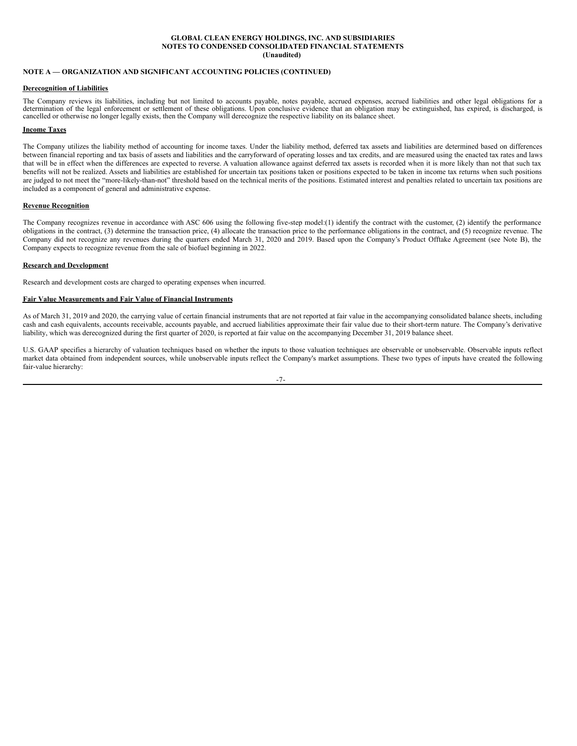### **NOTE A — ORGANIZATION AND SIGNIFICANT ACCOUNTING POLICIES (CONTINUED)**

### **Derecognition of Liabilities**

The Company reviews its liabilities, including but not limited to accounts payable, notes payable, accrued expenses, accrued liabilities and other legal obligations for a determination of the legal enforcement or settlement of these obligations. Upon conclusive evidence that an obligation may be extinguished, has expired, is discharged, is cancelled or otherwise no longer legally exists, then the Company will derecognize the respective liability on its balance sheet.

#### **Income Taxes**

The Company utilizes the liability method of accounting for income taxes. Under the liability method, deferred tax assets and liabilities are determined based on differences between financial reporting and tax basis of assets and liabilities and the carryforward of operating losses and tax credits, and are measured using the enacted tax rates and laws that will be in effect when the differences are expected to reverse. A valuation allowance against deferred tax assets is recorded when it is more likely than not that such tax benefits will not be realized. Assets and liabilities are established for uncertain tax positions taken or positions expected to be taken in income tax returns when such positions are judged to not meet the "more-likely-than-not" threshold based on the technical merits of the positions. Estimated interest and penalties related to uncertain tax positions are included as a component of general and administrative expense.

### **Revenue Recognition**

The Company recognizes revenue in accordance with ASC 606 using the following five-step model:(1) identify the contract with the customer, (2) identify the performance obligations in the contract, (3) determine the transaction price, (4) allocate the transaction price to the performance obligations in the contract, and (5) recognize revenue. The Company did not recognize any revenues during the quarters ended March 31, 2020 and 2019. Based upon the Company's Product Offtake Agreement (see Note B), the Company expects to recognize revenue from the sale of biofuel beginning in 2022.

#### **Research and Development**

Research and development costs are charged to operating expenses when incurred.

### **Fair Value Measurements and Fair Value of Financial Instruments**

As of March 31, 2019 and 2020, the carrying value of certain financial instruments that are not reported at fair value in the accompanying consolidated balance sheets, including cash and cash equivalents, accounts receivable, accounts payable, and accrued liabilities approximate their fair value due to their short-term nature. The Company's derivative liability, which was derecognized during the first quarter of 2020, is reported at fair value on the accompanying December 31, 2019 balance sheet.

U.S. GAAP specifies a hierarchy of valuation techniques based on whether the inputs to those valuation techniques are observable or unobservable. Observable inputs reflect market data obtained from independent sources, while unobservable inputs reflect the Company's market assumptions. These two types of inputs have created the following fair-value hierarchy:

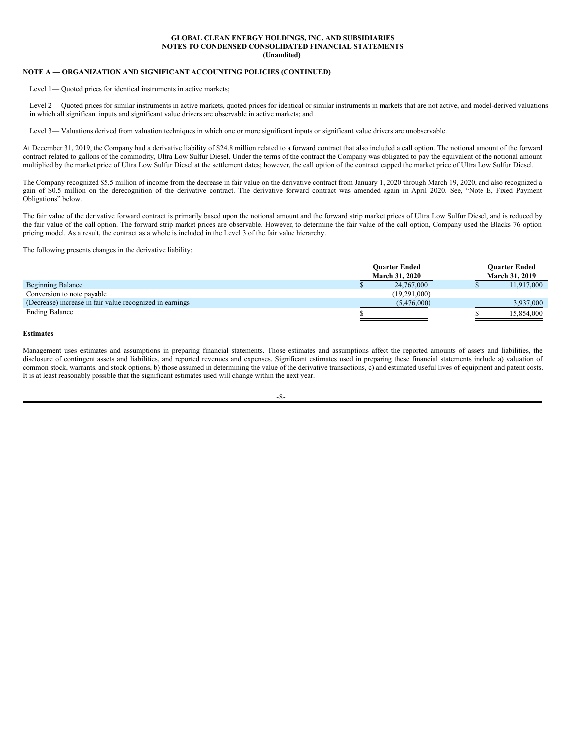# **NOTE A — ORGANIZATION AND SIGNIFICANT ACCOUNTING POLICIES (CONTINUED)**

Level 1— Quoted prices for identical instruments in active markets;

Level 2— Quoted prices for similar instruments in active markets, quoted prices for identical or similar instruments in markets that are not active, and model-derived valuations in which all significant inputs and significant value drivers are observable in active markets; and

Level 3— Valuations derived from valuation techniques in which one or more significant inputs or significant value drivers are unobservable.

At December 31, 2019, the Company had a derivative liability of \$24.8 million related to a forward contract that also included a call option. The notional amount of the forward contract related to gallons of the commodity, Ultra Low Sulfur Diesel. Under the terms of the contract the Company was obligated to pay the equivalent of the notional amount multiplied by the market price of Ultra Low Sulfur Diesel at the settlement dates; however, the call option of the contract capped the market price of Ultra Low Sulfur Diesel.

The Company recognized \$5.5 million of income from the decrease in fair value on the derivative contract from January 1, 2020 through March 19, 2020, and also recognized a gain of \$0.5 million on the derecognition of the derivative contract. The derivative forward contract was amended again in April 2020. See, "Note E, Fixed Payment Obligations" below.

The fair value of the derivative forward contract is primarily based upon the notional amount and the forward strip market prices of Ultra Low Sulfur Diesel, and is reduced by the fair value of the call option. The forward strip market prices are observable. However, to determine the fair value of the call option, Company used the Blacks 76 option pricing model. As a result, the contract as a whole is included in the Level 3 of the fair value hierarchy.

The following presents changes in the derivative liability:

|                                                          | <b>Ouarter Ended</b><br><b>March 31, 2020</b> |  | <b>Ouarter Ended</b><br><b>March 31, 2019</b> |  |            |
|----------------------------------------------------------|-----------------------------------------------|--|-----------------------------------------------|--|------------|
| <b>Beginning Balance</b>                                 |                                               |  | 24,767,000                                    |  | 11,917,000 |
| Conversion to note payable                               |                                               |  | (19,291,000)                                  |  |            |
| (Decrease) increase in fair value recognized in earnings |                                               |  | (5.476.000)                                   |  | 3.937,000  |
| <b>Ending Balance</b>                                    |                                               |  |                                               |  | 15,854,000 |

### **Estimates**

Management uses estimates and assumptions in preparing financial statements. Those estimates and assumptions affect the reported amounts of assets and liabilities, the disclosure of contingent assets and liabilities, and reported revenues and expenses. Significant estimates used in preparing these financial statements include a) valuation of common stock, warrants, and stock options, b) those assumed in determining the value of the derivative transactions, c) and estimated useful lives of equipment and patent costs. It is at least reasonably possible that the significant estimates used will change within the next year.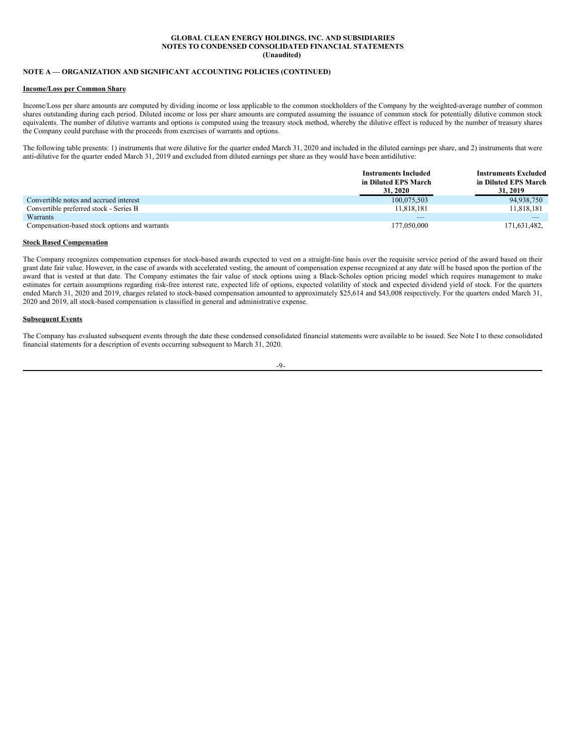# **NOTE A — ORGANIZATION AND SIGNIFICANT ACCOUNTING POLICIES (CONTINUED)**

### **Income/Loss per Common Share**

Income/Loss per share amounts are computed by dividing income or loss applicable to the common stockholders of the Company by the weighted-average number of common shares outstanding during each period. Diluted income or loss per share amounts are computed assuming the issuance of common stock for potentially dilutive common stock equivalents. The number of dilutive warrants and options is computed using the treasury stock method, whereby the dilutive effect is reduced by the number of treasury shares the Company could purchase with the proceeds from exercises of warrants and options.

The following table presents: 1) instruments that were dilutive for the quarter ended March 31, 2020 and included in the diluted earnings per share, and 2) instruments that were anti-dilutive for the quarter ended March 31, 2019 and excluded from diluted earnings per share as they would have been antidilutive:

|                                               | <b>Instruments Included</b> | <b>Instruments Excluded</b> |
|-----------------------------------------------|-----------------------------|-----------------------------|
|                                               | in Diluted EPS March        | in Diluted EPS March        |
|                                               | 31, 2020                    | 31, 2019                    |
| Convertible notes and accrued interest        | 100.075.503                 | 94,938,750                  |
| Convertible preferred stock - Series B        | 11.818.181                  | 11,818,181                  |
| Warrants                                      | $\overline{\phantom{a}}$    |                             |
| Compensation-based stock options and warrants | 177,050,000                 | 171,631,482,                |

#### **Stock Based Compensation**

The Company recognizes compensation expenses for stock-based awards expected to vest on a straight-line basis over the requisite service period of the award based on their grant date fair value. However, in the case of awards with accelerated vesting, the amount of compensation expense recognized at any date will be based upon the portion of the award that is vested at that date. The Company estimates the fair value of stock options using a Black-Scholes option pricing model which requires management to make estimates for certain assumptions regarding risk-free interest rate, expected life of options, expected volatility of stock and expected dividend yield of stock. For the quarters ended March 31, 2020 and 2019, charges related to stock-based compensation amounted to approximately \$25,614 and \$43,008 respectively. For the quarters ended March 31, 2020 and 2019, all stock-based compensation is classified in general and administrative expense.

### **Subsequent Events**

The Company has evaluated subsequent events through the date these condensed consolidated financial statements were available to be issued. See Note I to these consolidated financial statements for a description of events occurring subsequent to March 31, 2020.

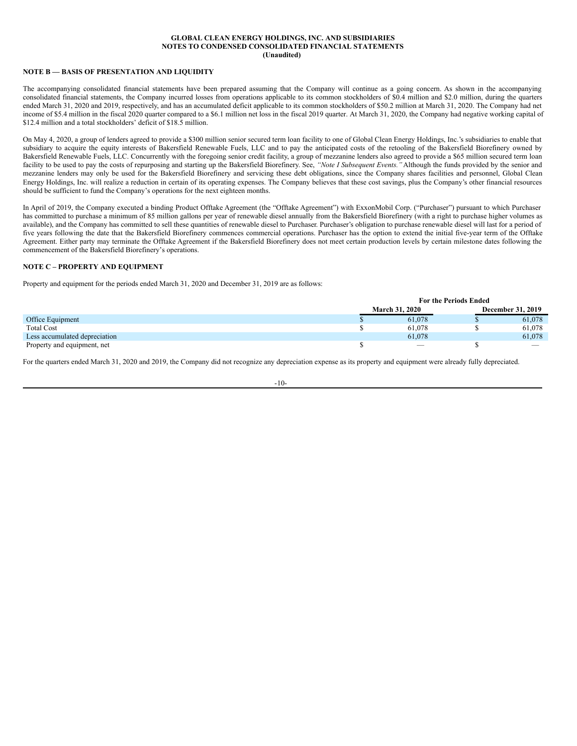### **NOTE B — BASIS OF PRESENTATION AND LIQUIDITY**

The accompanying consolidated financial statements have been prepared assuming that the Company will continue as a going concern. As shown in the accompanying consolidated financial statements, the Company incurred losses from operations applicable to its common stockholders of \$0.4 million and \$2.0 million, during the quarters ended March 31, 2020 and 2019, respectively, and has an accumulated deficit applicable to its common stockholders of \$50.2 million at March 31, 2020. The Company had net income of \$5.4 million in the fiscal 2020 quarter compared to a \$6.1 million net loss in the fiscal 2019 quarter. At March 31, 2020, the Company had negative working capital of \$12.4 million and a total stockholders' deficit of \$18.5 million.

On May 4, 2020, a group of lenders agreed to provide a \$300 million senior secured term loan facility to one of Global Clean Energy Holdings, Inc.'s subsidiaries to enable that subsidiary to acquire the equity interests of Bakersfield Renewable Fuels, LLC and to pay the anticipated costs of the retooling of the Bakersfield Biorefinery owned by Bakersfield Renewable Fuels, LLC. Concurrently with the foregoing senior credit facility, a group of mezzanine lenders also agreed to provide a \$65 million secured term loan facility to be used to pay the costs of repurposing and starting up the Bakersfield Biorefinery. See, *"Note I Subsequent Events."*Although the funds provided by the senior and mezzanine lenders may only be used for the Bakersfield Biorefinery and servicing these debt obligations, since the Company shares facilities and personnel, Global Clean Energy Holdings, Inc. will realize a reduction in certain of its operating expenses. The Company believes that these cost savings, plus the Company's other financial resources should be sufficient to fund the Company's operations for the next eighteen months.

In April of 2019, the Company executed a binding Product Offtake Agreement (the "Offtake Agreement") with ExxonMobil Corp. ("Purchaser") pursuant to which Purchaser has committed to purchase a minimum of 85 million gallons per year of renewable diesel annually from the Bakersfield Biorefinery (with a right to purchase higher volumes as available), and the Company has committed to sell these quantities of renewable diesel to Purchaser. Purchaser's obligation to purchase renewable diesel will last for a period of five years following the date that the Bakersfield Biorefinery commences commercial operations. Purchaser has the option to extend the initial five-year term of the Offtake Agreement. Either party may terminate the Offtake Agreement if the Bakersfield Biorefinery does not meet certain production levels by certain milestone dates following the commencement of the Bakersfield Biorefinery's operations.

### **NOTE C – PROPERTY AND EQUIPMENT**

Property and equipment for the periods ended March 31, 2020 and December 31, 2019 are as follows:

|                               | <b>For the Periods Ended</b> |  |                          |  |
|-------------------------------|------------------------------|--|--------------------------|--|
|                               | <b>March 31, 2020</b>        |  | <b>December 31, 2019</b> |  |
| Office Equipment              | 61.078                       |  | 61,078                   |  |
| <b>Total Cost</b>             | 61.078                       |  | 61.078                   |  |
| Less accumulated depreciation | 61.078                       |  | 61,078                   |  |
| Property and equipment, net   | $\overline{\phantom{m}}$     |  |                          |  |

For the quarters ended March 31, 2020 and 2019, the Company did not recognize any depreciation expense as its property and equipment were already fully depreciated.

-10-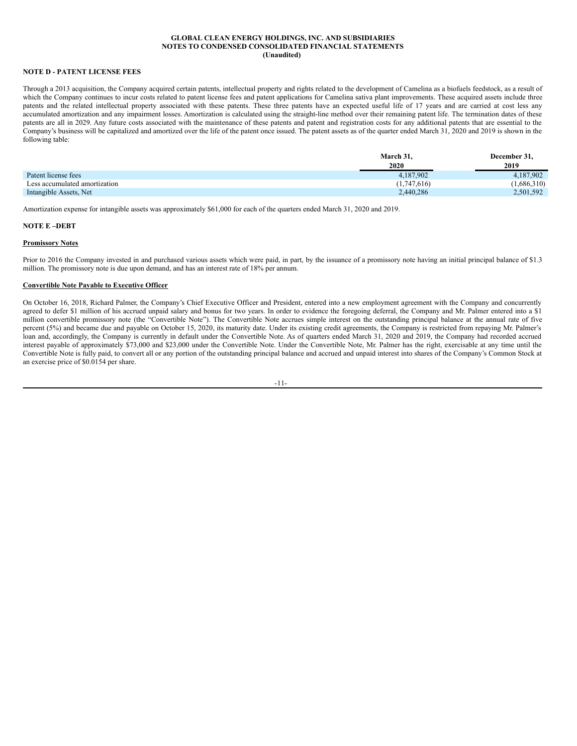### **NOTE D - PATENT LICENSE FEES**

Through a 2013 acquisition, the Company acquired certain patents, intellectual property and rights related to the development of Camelina as a biofuels feedstock, as a result of which the Company continues to incur costs related to patent license fees and patent applications for Camelina sativa plant improvements. These acquired assets include three patents and the related intellectual property associated with these patents. These three patents have an expected useful life of 17 years and are carried at cost less any accumulated amortization and any impairment losses. Amortization is calculated using the straight-line method over their remaining patent life. The termination dates of these patents are all in 2029. Any future costs associated with the maintenance of these patents and patent and registration costs for any additional patents that are essential to the Company's business will be capitalized and amortized over the life of the patent once issued. The patent assets as of the quarter ended March 31, 2020 and 2019 is shown in the following table:

|                               | March 31.   | December 31. |
|-------------------------------|-------------|--------------|
|                               | 2020        | 2019         |
| Patent license fees           | 4.187.902   | 4.187.902    |
| Less accumulated amortization | (1,747,616) | (1,686,310)  |
| Intangible Assets, Net        | 2,440,286   | 2,501,592    |

Amortization expense for intangible assets was approximately \$61,000 for each of the quarters ended March 31, 2020 and 2019.

#### **NOTE E –DEBT**

### **Promissory Notes**

Prior to 2016 the Company invested in and purchased various assets which were paid, in part, by the issuance of a promissory note having an initial principal balance of \$1.3 million. The promissory note is due upon demand, and has an interest rate of 18% per annum.

### **Convertible Note Payable to Executive Officer**

On October 16, 2018, Richard Palmer, the Company's Chief Executive Officer and President, entered into a new employment agreement with the Company and concurrently agreed to defer \$1 million of his accrued unpaid salary and bonus for two years. In order to evidence the foregoing deferral, the Company and Mr. Palmer entered into a \$1 million convertible promissory note (the "Convertible Note"). The Convertible Note accrues simple interest on the outstanding principal balance at the annual rate of five percent (5%) and became due and payable on October 15, 2020, its maturity date. Under its existing credit agreements, the Company is restricted from repaying Mr. Palmer's loan and, accordingly, the Company is currently in default under the Convertible Note. As of quarters ended March 31, 2020 and 2019, the Company had recorded accrued interest payable of approximately \$73,000 and \$23,000 under the Convertible Note. Under the Convertible Note, Mr. Palmer has the right, exercisable at any time until the Convertible Note is fully paid, to convert all or any portion of the outstanding principal balance and accrued and unpaid interest into shares of the Company's Common Stock at an exercise price of \$0.0154 per share.

$$
-11
$$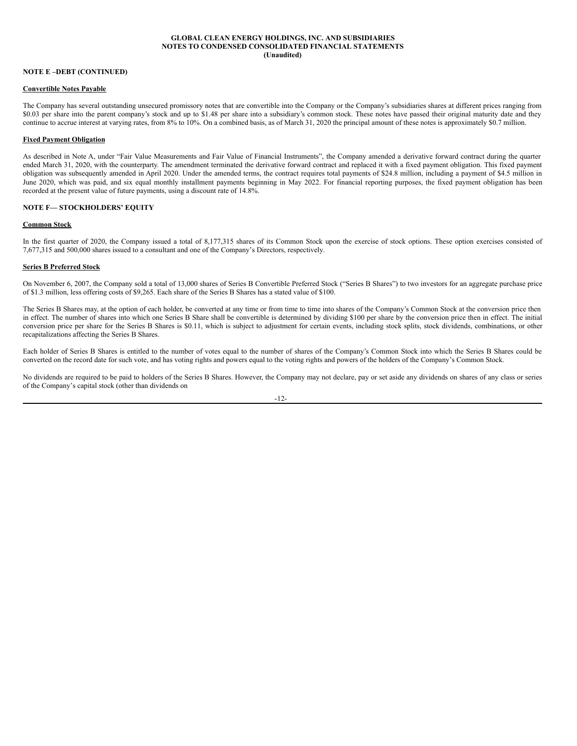### **NOTE E –DEBT (CONTINUED)**

### **Convertible Notes Payable**

The Company has several outstanding unsecured promissory notes that are convertible into the Company or the Company's subsidiaries shares at different prices ranging from \$0.03 per share into the parent company's stock and up to \$1.48 per share into a subsidiary's common stock. These notes have passed their original maturity date and they continue to accrue interest at varying rates, from 8% to 10%. On a combined basis, as of March 31, 2020 the principal amount of these notes is approximately \$0.7 million.

### **Fixed Payment Obligation**

As described in Note A, under "Fair Value Measurements and Fair Value of Financial Instruments", the Company amended a derivative forward contract during the quarter ended March 31, 2020, with the counterparty. The amendment terminated the derivative forward contract and replaced it with a fixed payment obligation. This fixed payment obligation was subsequently amended in April 2020. Under the amended terms, the contract requires total payments of \$24.8 million, including a payment of \$4.5 million in June 2020, which was paid, and six equal monthly installment payments beginning in May 2022. For financial reporting purposes, the fixed payment obligation has been recorded at the present value of future payments, using a discount rate of 14.8%.

### **NOTE F— STOCKHOLDERS' EQUITY**

### **Common Stock**

In the first quarter of 2020, the Company issued a total of 8,177,315 shares of its Common Stock upon the exercise of stock options. These option exercises consisted of 7,677,315 and 500,000 shares issued to a consultant and one of the Company's Directors, respectively.

#### **Series B Preferred Stock**

On November 6, 2007, the Company sold a total of 13,000 shares of Series B Convertible Preferred Stock ("Series B Shares") to two investors for an aggregate purchase price of \$1.3 million, less offering costs of \$9,265. Each share of the Series B Shares has a stated value of \$100.

The Series B Shares may, at the option of each holder, be converted at any time or from time to time into shares of the Company's Common Stock at the conversion price then in effect. The number of shares into which one Series B Share shall be convertible is determined by dividing \$100 per share by the conversion price then in effect. The initial conversion price per share for the Series B Shares is \$0.11, which is subject to adjustment for certain events, including stock splits, stock dividends, combinations, or other recapitalizations affecting the Series B Shares.

Each holder of Series B Shares is entitled to the number of votes equal to the number of shares of the Company's Common Stock into which the Series B Shares could be converted on the record date for such vote, and has voting rights and powers equal to the voting rights and powers of the holders of the Company's Common Stock.

No dividends are required to be paid to holders of the Series B Shares. However, the Company may not declare, pay or set aside any dividends on shares of any class or series of the Company's capital stock (other than dividends on

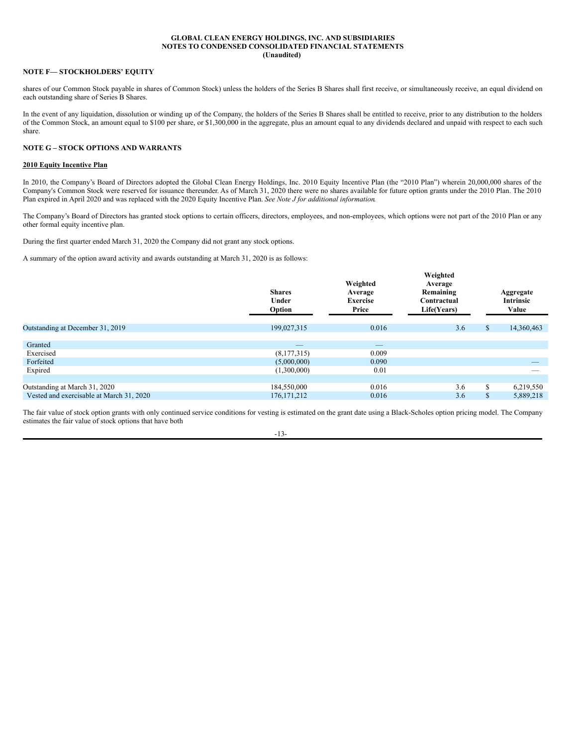### **NOTE F— STOCKHOLDERS' EQUITY**

shares of our Common Stock payable in shares of Common Stock) unless the holders of the Series B Shares shall first receive, or simultaneously receive, an equal dividend on each outstanding share of Series B Shares.

In the event of any liquidation, dissolution or winding up of the Company, the holders of the Series B Shares shall be entitled to receive, prior to any distribution to the holders of the Common Stock, an amount equal to \$100 per share, or \$1,300,000 in the aggregate, plus an amount equal to any dividends declared and unpaid with respect to each such share.

### **NOTE G – STOCK OPTIONS AND WARRANTS**

### **2010 Equity Incentive Plan**

In 2010, the Company's Board of Directors adopted the Global Clean Energy Holdings, Inc. 2010 Equity Incentive Plan (the "2010 Plan") wherein 20,000,000 shares of the Company's Common Stock were reserved for issuance thereunder. As of March 31, 2020 there were no shares available for future option grants under the 2010 Plan. The 2010 Plan expired in April 2020 and was replaced with the 2020 Equity Incentive Plan. *See Note J for additional information*.

The Company's Board of Directors has granted stock options to certain officers, directors, employees, and non-employees, which options were not part of the 2010 Plan or any other formal equity incentive plan.

During the first quarter ended March 31, 2020 the Company did not grant any stock options.

A summary of the option award activity and awards outstanding at March 31, 2020 is as follows:

| <b>Shares</b><br>Under<br>Option | Weighted<br>Average<br><b>Exercise</b><br>Price | Weighted<br>Average<br>Remaining<br>Contractual<br>Life(Years) |              | Aggregate<br><b>Intrinsic</b><br>Value |
|----------------------------------|-------------------------------------------------|----------------------------------------------------------------|--------------|----------------------------------------|
| 199,027,315                      | 0.016                                           | 3.6                                                            | \$           | 14,360,463                             |
|                                  |                                                 |                                                                |              |                                        |
| (5,000,000)                      | 0.090                                           |                                                                |              |                                        |
| (1,300,000)                      | 0.01                                            |                                                                |              |                                        |
| 184,550,000                      | 0.016                                           | 3.6                                                            | \$           | 6,219,550                              |
| 176, 171, 212                    | 0.016                                           | 3.6                                                            | $\mathbb{S}$ | 5,889,218                              |
|                                  | (8,177,315)                                     | 0.009                                                          |              |                                        |

The fair value of stock option grants with only continued service conditions for vesting is estimated on the grant date using a Black-Scholes option pricing model. The Company estimates the fair value of stock options that have both

-13-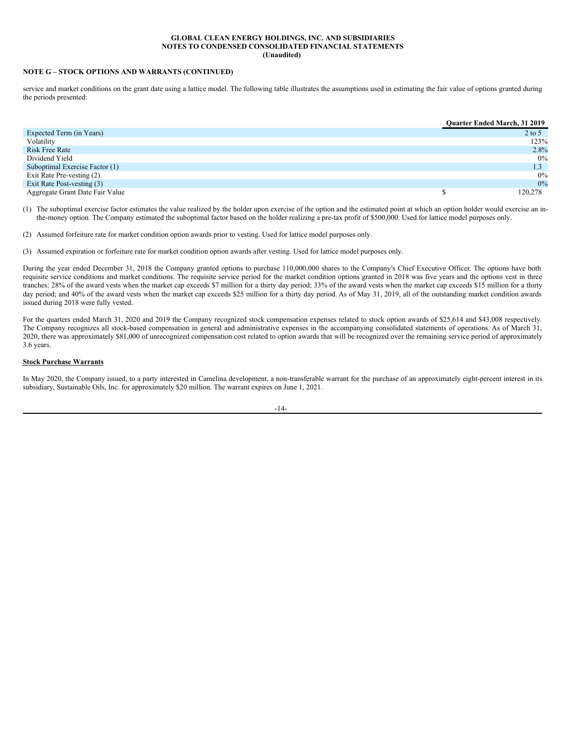### **NOTE G – STOCK OPTIONS AND WARRANTS (CONTINUED)**

service and market conditions on the grant date using a lattice model. The following table illustrates the assumptions used in estimating the fair value of options granted during the periods presented:

|                                 | Quarter Ended March, 31 2019 |
|---------------------------------|------------------------------|
| Expected Term (in Years)        | $2$ to 5                     |
| Volatility                      | 123%                         |
| <b>Risk Free Rate</b>           | 2.8%                         |
| Dividend Yield                  | $0\%$                        |
| Suboptimal Exercise Factor (1)  | 1.3                          |
| Exit Rate Pre-vesting (2)       | $0\%$                        |
| Exit Rate Post-vesting (3)      | $0\%$                        |
| Aggregate Grant Date Fair Value | 120,278                      |

(1) The suboptimal exercise factor estimates the value realized by the holder upon exercise of the option and the estimated point at which an option holder would exercise an inthe-money option. The Company estimated the suboptimal factor based on the holder realizing a pre-tax profit of \$500,000. Used for lattice model purposes only.

(2) Assumed forfeiture rate for market condition option awards prior to vesting. Used for lattice model purposes only.

(3) Assumed expiration or forfeiture rate for market condition option awards after vesting. Used for lattice model purposes only.

During the year ended December 31, 2018 the Company granted options to purchase 110,000,000 shares to the Company's Chief Executive Officer. The options have both requisite service conditions and market conditions. The requisite service period for the market condition options granted in 2018 was five years and the options vest in three tranches: 28% of the award vests when the market cap exceeds \$7 million for a thirty day period; 33% of the award vests when the market cap exceeds \$15 million for a thirty day period; and 40% of the award vests when the market cap exceeds \$25 million for a thirty day period. As of May 31, 2019, all of the outstanding market condition awards issued during 2018 were fully vested.

For the quarters ended March 31, 2020 and 2019 the Company recognized stock compensation expenses related to stock option awards of \$25,614 and \$43,008 respectively. The Company recognizes all stock-based compensation in general and administrative expenses in the accompanying consolidated statements of operations. As of March 31, 2020, there was approximately \$81,000 of unrecognized compensation cost related to option awards that will be recognized over the remaining service period of approximately 3.6 years.

### **Stock Purchase Warrants**

In May 2020, the Company issued, to a party interested in Camelina development, a non-transferable warrant for the purchase of an approximately eight-percent interest in its subsidiary, Sustainable Oils, Inc. for approximately \$20 million. The warrant expires on June 1, 2021.

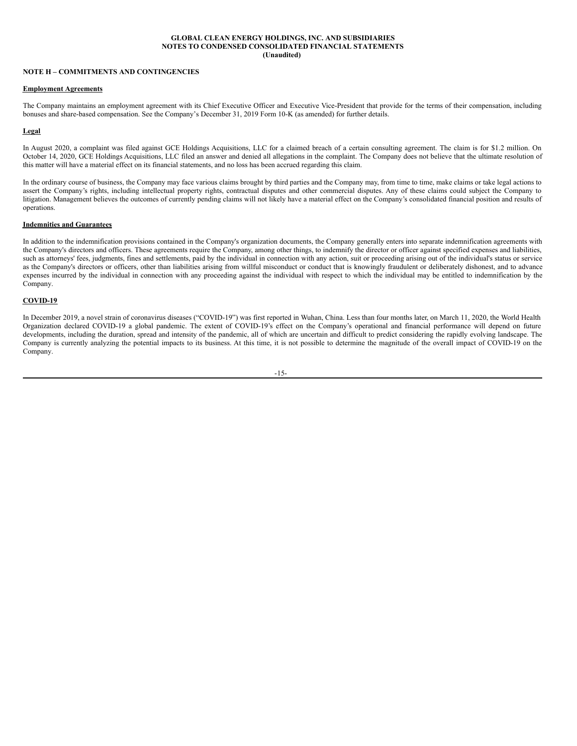### **NOTE H – COMMITMENTS AND CONTINGENCIES**

### **Employment Agreements**

The Company maintains an employment agreement with its Chief Executive Officer and Executive Vice-President that provide for the terms of their compensation, including bonuses and share-based compensation. See the Company's December 31, 2019 Form 10-K (as amended) for further details.

#### **Legal**

In August 2020, a complaint was filed against GCE Holdings Acquisitions, LLC for a claimed breach of a certain consulting agreement. The claim is for \$1.2 million. On October 14, 2020, GCE Holdings Acquisitions, LLC filed an answer and denied all allegations in the complaint. The Company does not believe that the ultimate resolution of this matter will have a material effect on its financial statements, and no loss has been accrued regarding this claim.

In the ordinary course of business, the Company may face various claims brought by third parties and the Company may, from time to time, make claims or take legal actions to assert the Company's rights, including intellectual property rights, contractual disputes and other commercial disputes. Any of these claims could subject the Company to litigation. Management believes the outcomes of currently pending claims will not likely have a material effect on the Company's consolidated financial position and results of operations.

### **Indemnities and Guarantees**

In addition to the indemnification provisions contained in the Company's organization documents, the Company generally enters into separate indemnification agreements with the Company's directors and officers. These agreements require the Company, among other things, to indemnify the director or officer against specified expenses and liabilities, such as attorneys' fees, judgments, fines and settlements, paid by the individual in connection with any action, suit or proceeding arising out of the individual's status or service as the Company's directors or officers, other than liabilities arising from willful misconduct or conduct that is knowingly fraudulent or deliberately dishonest, and to advance expenses incurred by the individual in connection with any proceeding against the individual with respect to which the individual may be entitled to indemnification by the Company.

### **COVID-19**

In December 2019, a novel strain of coronavirus diseases ("COVID-19") was first reported in Wuhan, China. Less than four months later, on March 11, 2020, the World Health Organization declared COVID-19 a global pandemic. The extent of COVID-19's effect on the Company's operational and financial performance will depend on future developments, including the duration, spread and intensity of the pandemic, all of which are uncertain and difficult to predict considering the rapidly evolving landscape. The Company is currently analyzing the potential impacts to its business. At this time, it is not possible to determine the magnitude of the overall impact of COVID-19 on the Company.

$$
-15-
$$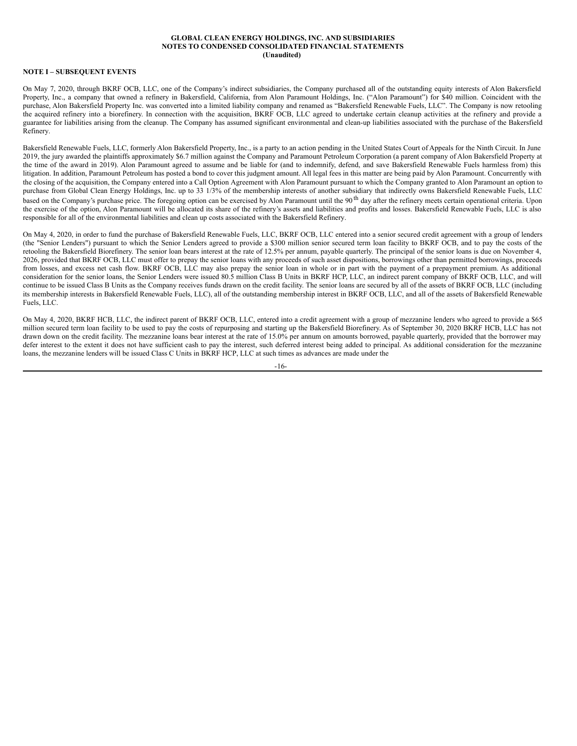### **NOTE I – SUBSEQUENT EVENTS**

On May 7, 2020, through BKRF OCB, LLC, one of the Company's indirect subsidiaries, the Company purchased all of the outstanding equity interests of Alon Bakersfield Property, Inc., a company that owned a refinery in Bakersfield, California, from Alon Paramount Holdings, Inc. ("Alon Paramount") for \$40 million. Coincident with the purchase, Alon Bakersfield Property Inc. was converted into a limited liability company and renamed as "Bakersfield Renewable Fuels, LLC". The Company is now retooling the acquired refinery into a biorefinery. In connection with the acquisition, BKRF OCB, LLC agreed to undertake certain cleanup activities at the refinery and provide a guarantee for liabilities arising from the cleanup. The Company has assumed significant environmental and clean-up liabilities associated with the purchase of the Bakersfield Refinery.

Bakersfield Renewable Fuels, LLC, formerly Alon Bakersfield Property, Inc., is a party to an action pending in the United States Court of Appeals for the Ninth Circuit. In June 2019, the jury awarded the plaintiffs approximately \$6.7 million against the Company and Paramount Petroleum Corporation (a parent company of Alon Bakersfield Property at the time of the award in 2019). Alon Paramount agreed to assume and be liable for (and to indemnify, defend, and save Bakersfield Renewable Fuels harmless from) this litigation. In addition, Paramount Petroleum has posted a bond to cover this judgment amount. All legal fees in this matter are being paid by Alon Paramount. Concurrently with the closing of the acquisition, the Company entered into a Call Option Agreement with Alon Paramount pursuant to which the Company granted to Alon Paramount an option to purchase from Global Clean Energy Holdings, Inc. up to 33 1/3% of the membership interests of another subsidiary that indirectly owns Bakersfield Renewable Fuels, LLC based on the Company's purchase price. The foregoing option can be exercised by Alon Paramount until the 90<sup>th</sup> day after the refinery meets certain operational criteria. Upon the exercise of the option, Alon Paramount will be allocated its share of the refinery's assets and liabilities and profits and losses. Bakersfield Renewable Fuels, LLC is also responsible for all of the environmental liabilities and clean up costs associated with the Bakersfield Refinery.

On May 4, 2020, in order to fund the purchase of Bakersfield Renewable Fuels, LLC, BKRF OCB, LLC entered into a senior secured credit agreement with a group of lenders (the "Senior Lenders") pursuant to which the Senior Lenders agreed to provide a \$300 million senior secured term loan facility to BKRF OCB, and to pay the costs of the retooling the Bakersfield Biorefinery. The senior loan bears interest at the rate of 12.5% per annum, payable quarterly. The principal of the senior loans is due on November 4, 2026, provided that BKRF OCB, LLC must offer to prepay the senior loans with any proceeds of such asset dispositions, borrowings other than permitted borrowings, proceeds from losses, and excess net cash flow. BKRF OCB, LLC may also prepay the senior loan in whole or in part with the payment of a prepayment premium. As additional consideration for the senior loans, the Senior Lenders were issued 80.5 million Class B Units in BKRF HCP, LLC, an indirect parent company of BKRF OCB, LLC, and will continue to be issued Class B Units as the Company receives funds drawn on the credit facility. The senior loans are secured by all of the assets of BKRF OCB, LLC (including its membership interests in Bakersfield Renewable Fuels, LLC), all of the outstanding membership interest in BKRF OCB, LLC, and all of the assets of Bakersfield Renewable Fuels, LLC.

On May 4, 2020, BKRF HCB, LLC, the indirect parent of BKRF OCB, LLC, entered into a credit agreement with a group of mezzanine lenders who agreed to provide a \$65 million secured term loan facility to be used to pay the costs of repurposing and starting up the Bakersfield Biorefinery. As of September 30, 2020 BKRF HCB, LLC has not drawn down on the credit facility. The mezzanine loans bear interest at the rate of 15.0% per annum on amounts borrowed, payable quarterly, provided that the borrower may defer interest to the extent it does not have sufficient cash to pay the interest, such deferred interest being added to principal. As additional consideration for the mezzanine loans, the mezzanine lenders will be issued Class C Units in BKRF HCP, LLC at such times as advances are made under the

-16-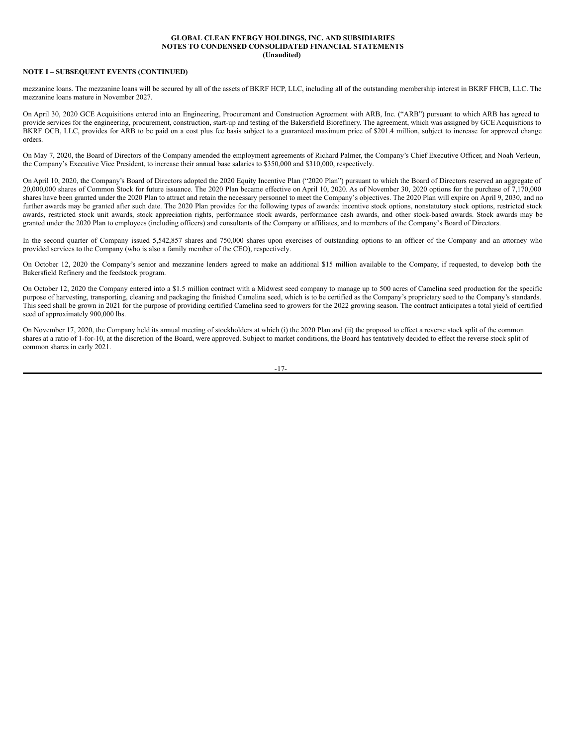### **NOTE I – SUBSEQUENT EVENTS (CONTINUED)**

mezzanine loans. The mezzanine loans will be secured by all of the assets of BKRF HCP, LLC, including all of the outstanding membership interest in BKRF FHCB, LLC. The mezzanine loans mature in November 2027.

On April 30, 2020 GCE Acquisitions entered into an Engineering, Procurement and Construction Agreement with ARB, Inc. ("ARB") pursuant to which ARB has agreed to provide services for the engineering, procurement, construction, start-up and testing of the Bakersfield Biorefinery. The agreement, which was assigned by GCE Acquisitions to BKRF OCB, LLC, provides for ARB to be paid on a cost plus fee basis subject to a guaranteed maximum price of \$201.4 million, subject to increase for approved change orders.

On May 7, 2020, the Board of Directors of the Company amended the employment agreements of Richard Palmer, the Company's Chief Executive Officer, and Noah Verleun, the Company's Executive Vice President, to increase their annual base salaries to \$350,000 and \$310,000, respectively.

On April 10, 2020, the Company's Board of Directors adopted the 2020 Equity Incentive Plan ("2020 Plan") pursuant to which the Board of Directors reserved an aggregate of 20,000,000 shares of Common Stock for future issuance. The 2020 Plan became effective on April 10, 2020. As of November 30, 2020 options for the purchase of 7,170,000 shares have been granted under the 2020 Plan to attract and retain the necessary personnel to meet the Company's objectives. The 2020 Plan will expire on April 9, 2030, and no further awards may be granted after such date. The 2020 Plan provides for the following types of awards: incentive stock options, nonstatutory stock options, restricted stock awards, restricted stock unit awards, stock appreciation rights, performance stock awards, performance cash awards, and other stock-based awards. Stock awards may be granted under the 2020 Plan to employees (including officers) and consultants of the Company or affiliates, and to members of the Company's Board of Directors.

In the second quarter of Company issued 5,542,857 shares and 750,000 shares upon exercises of outstanding options to an officer of the Company and an attorney who provided services to the Company (who is also a family member of the CEO), respectively.

On October 12, 2020 the Company's senior and mezzanine lenders agreed to make an additional \$15 million available to the Company, if requested, to develop both the Bakersfield Refinery and the feedstock program.

On October 12, 2020 the Company entered into a \$1.5 million contract with a Midwest seed company to manage up to 500 acres of Camelina seed production for the specific purpose of harvesting, transporting, cleaning and packaging the finished Camelina seed, which is to be certified as the Company's proprietary seed to the Company's standards. This seed shall be grown in 2021 for the purpose of providing certified Camelina seed to growers for the 2022 growing season. The contract anticipates a total yield of certified seed of approximately 900,000 lbs.

On November 17, 2020, the Company held its annual meeting of stockholders at which (i) the 2020 Plan and (ii) the proposal to effect a reverse stock split of the common shares at a ratio of 1-for-10, at the discretion of the Board, were approved. Subject to market conditions, the Board has tentatively decided to effect the reverse stock split of common shares in early 2021.

-17-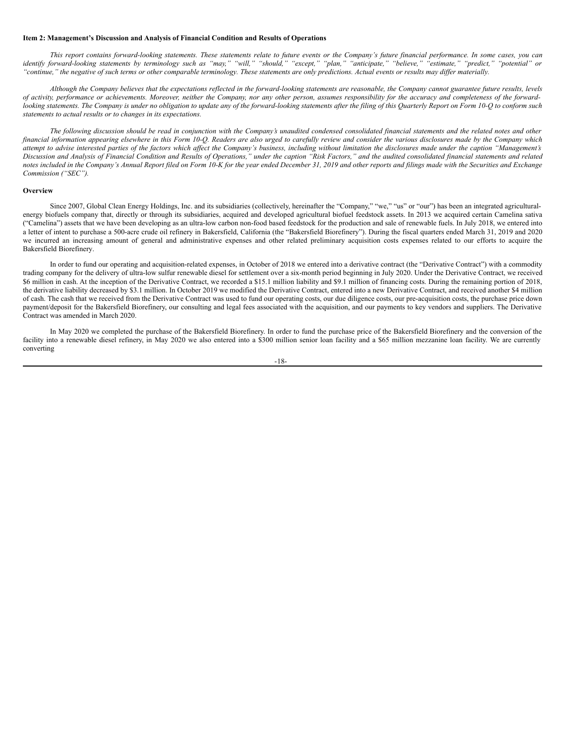### **Item 2: Management's Discussion and Analysis of Financial Condition and Results of Operations**

This report contains forward-looking statements. These statements relate to future events or the Company's future financial performance. In some cases, you can identify forward-looking statements by terminology such as "may," "will," "should," "except," "plan," "anticipate," "believe," "estimate," "predict," "potential" or "continue," the negative of such terms or other comparable terminology. These statements are only predictions. Actual events or results may differ materially.

Although the Company believes that the expectations reflected in the forward-looking statements are reasonable, the Company cannot guarantee future results, levels of activity, performance or achievements. Moreover, neither the Company, nor any other person, assumes responsibility for the accuracy and completeness of the forwardlooking statements. The Company is under no obligation to update any of the forward-looking statements after the filing of this Quarterly Report on Form 10-Q to conform such *statements to actual results or to changes in its expectations.*

The following discussion should be read in conjunction with the Company's unaudited condensed consolidated financial statements and the related notes and other financial information appearing elsewhere in this Form 10-O. Readers are also urged to carefully review and consider the various disclosures made by the Company which attempt to advise interested parties of the factors which affect the Company's business, including without limitation the disclosures made under the caption "Management's Discussion and Analysis of Financial Condition and Results of Operations," under the caption "Risk Factors," and the audited consolidated financial statements and related notes included in the Company's Annual Report filed on Form 10-K for the year ended December 31, 2019 and other reports and filings made with the Securities and Exchange *Commission ("SEC").*

#### **Overview**

Since 2007, Global Clean Energy Holdings, Inc. and its subsidiaries (collectively, hereinafter the "Company," "we," "us" or "our") has been an integrated agriculturalenergy biofuels company that, directly or through its subsidiaries, acquired and developed agricultural biofuel feedstock assets. In 2013 we acquired certain Camelina sativa ("Camelina") assets that we have been developing as an ultra-low carbon non-food based feedstock for the production and sale of renewable fuels. In July 2018, we entered into a letter of intent to purchase a 500-acre crude oil refinery in Bakersfield, California (the "Bakersfield Biorefinery"). During the fiscal quarters ended March 31, 2019 and 2020 we incurred an increasing amount of general and administrative expenses and other related preliminary acquisition costs expenses related to our efforts to acquire the Bakersfield Biorefinery.

In order to fund our operating and acquisition-related expenses, in October of 2018 we entered into a derivative contract (the "Derivative Contract") with a commodity trading company for the delivery of ultra-low sulfur renewable diesel for settlement over a six-month period beginning in July 2020. Under the Derivative Contract, we received \$6 million in cash. At the inception of the Derivative Contract, we recorded a \$15.1 million liability and \$9.1 million of financing costs. During the remaining portion of 2018, the derivative liability decreased by \$3.1 million. In October 2019 we modified the Derivative Contract, entered into a new Derivative Contract, and received another \$4 million of cash. The cash that we received from the Derivative Contract was used to fund our operating costs, our due diligence costs, our pre-acquisition costs, the purchase price down payment/deposit for the Bakersfield Biorefinery, our consulting and legal fees associated with the acquisition, and our payments to key vendors and suppliers. The Derivative Contract was amended in March 2020.

In May 2020 we completed the purchase of the Bakersfield Biorefinery. In order to fund the purchase price of the Bakersfield Biorefinery and the conversion of the facility into a renewable diesel refinery, in May 2020 we also entered into a \$300 million senior loan facility and a \$65 million mezzanine loan facility. We are currently converting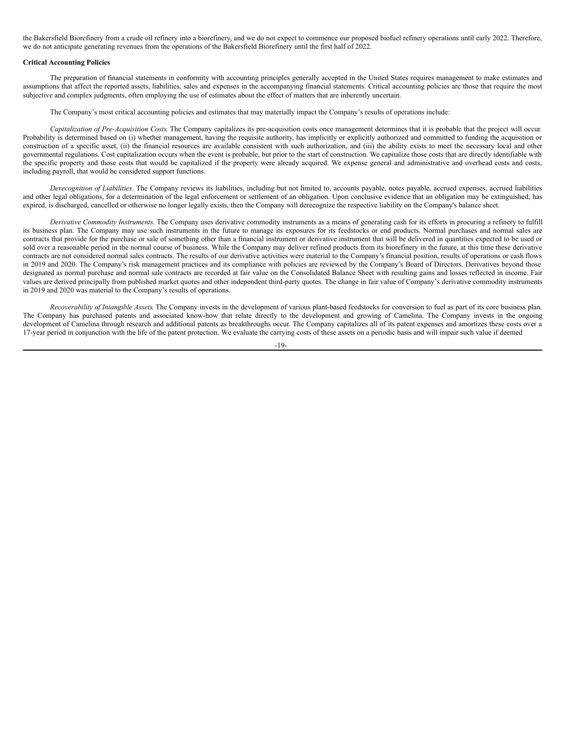the Bakersfield Biorefinery from a crude oil refinery into a biorefinery, and we do not expect to commence our proposed biofuel refinery operations until early 2022. Therefore, we do not anticipate generating revenues from the operations of the Bakersfield Biorefinery until the first half of 2022.

### **Critical Accounting Policies**

The preparation of financial statements in conformity with accounting principles generally accepted in the United States requires management to make estimates and assumptions that affect the reported assets, liabilities, sales and expenses in the accompanying financial statements. Critical accounting policies are those that require the most subjective and complex judgments, often employing the use of estimates about the effect of matters that are inherently uncertain.

The Company's most critical accounting policies and estimates that may materially impact the Company's results of operations include:

*Capitalization of Pre-Acquisition Costs*. The Company capitalizes its pre-acquisition costs once management determines that it is probable that the project will occur. Probability is determined based on (i) whether management, having the requisite authority, has implicitly or explicitly authorized and committed to funding the acquisition or construction of a specific asset, (ii) the financial resources are available consistent with such authorization, and (iii) the ability exists to meet the necessary local and other governmental regulations. Cost capitalization occurs when the event is probable, but prior to the start of construction. We capitalize those costs that are directly identifiable with the specific property and those costs that would be capitalized if the property were already acquired. We expense general and administrative and overhead costs and costs, including payroll, that would be considered support functions.

*Derecognition of Liabilities*. The Company reviews its liabilities, including but not limited to, accounts payable, notes payable, accrued expenses, accrued liabilities and other legal obligations, for a determination of the legal enforcement or settlement of an obligation. Upon conclusive evidence that an obligation may be extinguished, has expired, is discharged, cancelled or otherwise no longer legally exists, then the Company will derecognize the respective liability on the Company's balance sheet.

*Derivative Commodity Instruments*. The Company uses derivative commodity instruments as a means of generating cash for its efforts in procuring a refinery to fulfill its business plan. The Company may use such instruments in the future to manage its exposures for its feedstocks or end products. Normal purchases and normal sales are contracts that provide for the purchase or sale of something other than a financial instrument or derivative instrument that will be delivered in quantities expected to be used or sold over a reasonable period in the normal course of business. While the Company may deliver refined products from its biorefinery in the future, at this time these derivative contracts are not considered normal sales contracts. The results of our derivative activities were material to the Company's financial position, results of operations or cash flows in 2019 and 2020. The Company's risk management practices and its compliance with policies are reviewed by the Company's Board of Directors. Derivatives beyond those designated as normal purchase and normal sale contracts are recorded at fair value on the Consolidated Balance Sheet with resulting gains and losses reflected in income. Fair values are derived principally from published market quotes and other independent third-party quotes. The change in fair value of Company's derivative commodity instruments in 2019 and 2020 was material to the Company's results of operations.

*Recoverability of Intangible Assets*. The Company invests in the development of various plant-based feedstocks for conversion to fuel as part of its core business plan. The Company has purchased patents and associated know-how that relate directly to the development and growing of Camelina. The Company invests in the ongoing development of Camelina through research and additional patents as breakthroughs occur. The Company capitalizes all of its patent expenses and amortizes these costs over a 17-year period in conjunction with the life of the patent protection. We evaluate the carrying costs of these assets on a periodic basis and will impair such value if deemed

-19-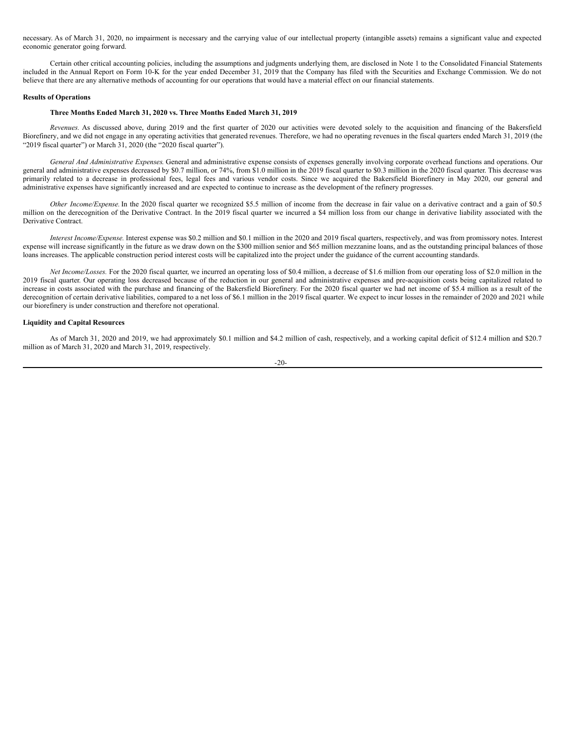necessary. As of March 31, 2020, no impairment is necessary and the carrying value of our intellectual property (intangible assets) remains a significant value and expected economic generator going forward.

Certain other critical accounting policies, including the assumptions and judgments underlying them, are disclosed in Note 1 to the Consolidated Financial Statements included in the Annual Report on Form 10-K for the year ended December 31, 2019 that the Company has filed with the Securities and Exchange Commission. We do not believe that there are any alternative methods of accounting for our operations that would have a material effect on our financial statements.

#### **Results of Operations**

### **Three Months Ended March 31, 2020 vs. Three Months Ended March 31, 2019**

*Revenues.* As discussed above, during 2019 and the first quarter of 2020 our activities were devoted solely to the acquisition and financing of the Bakersfield Biorefinery, and we did not engage in any operating activities that generated revenues. Therefore, we had no operating revenues in the fiscal quarters ended March 31, 2019 (the "2019 fiscal quarter") or March 31, 2020 (the "2020 fiscal quarter").

*General And Administrative Expenses*. General and administrative expense consists of expenses generally involving corporate overhead functions and operations. Our general and administrative expenses decreased by \$0.7 million, or 74%, from \$1.0 million in the 2019 fiscal quarter to \$0.3 million in the 2020 fiscal quarter. This decrease was primarily related to a decrease in professional fees, legal fees and various vendor costs. Since we acquired the Bakersfield Biorefinery in May 2020, our general and administrative expenses have significantly increased and are expected to continue to increase as the development of the refinery progresses.

*Other Income/Expense*. In the 2020 fiscal quarter we recognized \$5.5 million of income from the decrease in fair value on a derivative contract and a gain of \$0.5 million on the derecognition of the Derivative Contract. In the 2019 fiscal quarter we incurred a \$4 million loss from our change in derivative liability associated with the Derivative Contract.

*Interest Income/Expense.* Interest expense was \$0.2 million and \$0.1 million in the 2020 and 2019 fiscal quarters, respectively, and was from promissory notes. Interest expense will increase significantly in the future as we draw down on the \$300 million senior and \$65 million mezzanine loans, and as the outstanding principal balances of those loans increases. The applicable construction period interest costs will be capitalized into the project under the guidance of the current accounting standards.

*Net Income/Losses.* For the 2020 fiscal quarter, we incurred an operating loss of \$0.4 million, a decrease of \$1.6 million from our operating loss of \$2.0 million in the 2019 fiscal quarter. Our operating loss decreased because of the reduction in our general and administrative expenses and pre-acquisition costs being capitalized related to increase in costs associated with the purchase and financing of the Bakersfield Biorefinery. For the 2020 fiscal quarter we had net income of \$5.4 million as a result of the derecognition of certain derivative liabilities, compared to a net loss of \$6.1 million in the 2019 fiscal quarter. We expect to incur losses in the remainder of 2020 and 2021 while our biorefinery is under construction and therefore not operational.

### **Liquidity and Capital Resources**

As of March 31, 2020 and 2019, we had approximately \$0.1 million and \$4.2 million of cash, respectively, and a working capital deficit of \$12.4 million and \$20.7 million as of March 31, 2020 and March 31, 2019, respectively.

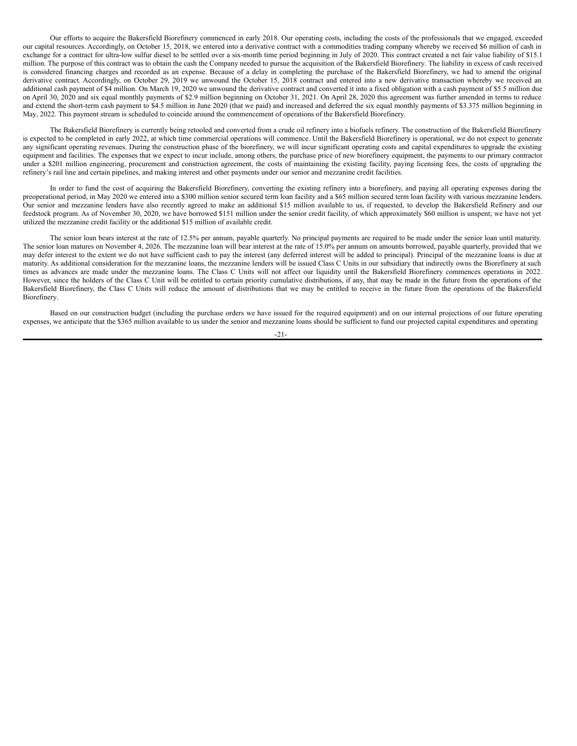Our efforts to acquire the Bakersfield Biorefinery commenced in early 2018. Our operating costs, including the costs of the professionals that we engaged, exceeded our capital resources. Accordingly, on October 15, 2018, we entered into a derivative contract with a commodities trading company whereby we received \$6 million of cash in exchange for a contract for ultra-low sulfur diesel to be settled over a six-month time period beginning in July of 2020. This contract created a net fair value liability of \$15.1 million. The purpose of this contract was to obtain the cash the Company needed to pursue the acquisition of the Bakersfield Biorefinery. The liability in excess of cash received is considered financing charges and recorded as an expense. Because of a delay in completing the purchase of the Bakersfield Biorefinery, we had to amend the original derivative contract. Accordingly, on October 29, 2019 we unwound the October 15, 2018 contract and entered into a new derivative transaction whereby we received an additional cash payment of \$4 million. On March 19, 2020 we unwound the derivative contract and converted it into a fixed obligation with a cash payment of \$5.5 million due on April 30, 2020 and six equal monthly payments of \$2.9 million beginning on October 31, 2021. On April 28, 2020 this agreement was further amended in terms to reduce and extend the short-term cash payment to \$4.5 million in June 2020 (that we paid) and increased and deferred the six equal monthly payments of \$3.375 million beginning in May, 2022. This payment stream is scheduled to coincide around the commencement of operations of the Bakersfield Biorefinery.

The Bakersfield Biorefinery is currently being retooled and converted from a crude oil refinery into a biofuels refinery. The construction of the Bakersfield Biorefinery is expected to be completed in early 2022, at which time commercial operations will commence. Until the Bakersfield Biorefinery is operational, we do not expect to generate any significant operating revenues. During the construction phase of the biorefinery, we will incur significant operating costs and capital expenditures to upgrade the existing equipment and facilities. The expenses that we expect to incur include, among others, the purchase price of new biorefinery equipment, the payments to our primary contractor under a \$201 million engineering, procurement and construction agreement, the costs of maintaining the existing facility, paying licensing fees, the costs of upgrading the refinery's rail line and certain pipelines, and making interest and other payments under our senior and mezzanine credit facilities.

In order to fund the cost of acquiring the Bakersfield Biorefinery, converting the existing refinery into a biorefinery, and paying all operating expenses during the preoperational period, in May 2020 we entered into a \$300 million senior secured term loan facility and a \$65 million secured term loan facility with various mezzanine lenders. Our senior and mezzanine lenders have also recently agreed to make an additional \$15 million available to us, if requested, to develop the Bakersfield Refinery and our feedstock program. As of November 30, 2020, we have borrowed \$151 million under the senior credit facility, of which approximately \$60 million is unspent; we have not yet utilized the mezzanine credit facility or the additional \$15 million of available credit.

The senior loan bears interest at the rate of 12.5% per annum, payable quarterly. No principal payments are required to be made under the senior loan until maturity. The senior loan matures on November 4, 2026. The mezzanine loan will bear interest at the rate of 15.0% per annum on amounts borrowed, payable quarterly, provided that we may defer interest to the extent we do not have sufficient cash to pay the interest (any deferred interest will be added to principal). Principal of the mezzanine loans is due at maturity. As additional consideration for the mezzanine loans, the mezzanine lenders will be issued Class C Units in our subsidiary that indirectly owns the Biorefinery at such times as advances are made under the mezzanine loans. The Class C Units will not affect our liquidity until the Bakersfield Biorefinery commences operations in 2022. However, since the holders of the Class C Unit will be entitled to certain priority cumulative distributions, if any, that may be made in the future from the operations of the Bakersfield Biorefinery, the Class C Units will reduce the amount of distributions that we may be entitled to receive in the future from the operations of the Bakersfield Biorefinery.

Based on our construction budget (including the purchase orders we have issued for the required equipment) and on our internal projections of our future operating expenses, we anticipate that the \$365 million available to us under the senior and mezzanine loans should be sufficient to fund our projected capital expenditures and operating

-21-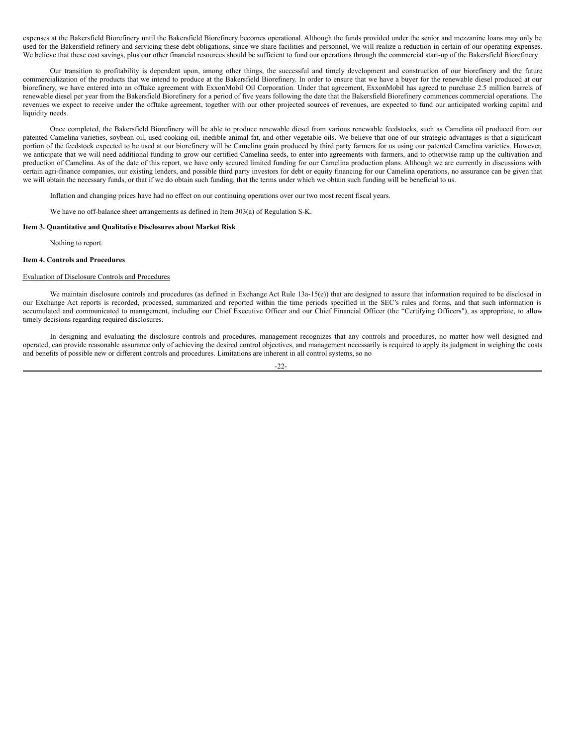expenses at the Bakersfield Biorefinery until the Bakersfield Biorefinery becomes operational. Although the funds provided under the senior and mezzanine loans may only be used for the Bakersfield refinery and servicing these debt obligations, since we share facilities and personnel, we will realize a reduction in certain of our operating expenses. We believe that these cost savings, plus our other financial resources should be sufficient to fund our operations through the commercial start-up of the Bakersfield Biorefinery.

Our transition to profitability is dependent upon, among other things, the successful and timely development and construction of our biorefinery and the future commercialization of the products that we intend to produce at the Bakersfield Biorefinery. In order to ensure that we have a buyer for the renewable diesel produced at our biorefinery, we have entered into an offtake agreement with ExxonMobil Oil Corporation. Under that agreement, ExxonMobil has agreed to purchase 2.5 million barrels of renewable diesel per year from the Bakersfield Biorefinery for a period of five years following the date that the Bakersfield Biorefinery commences commercial operations. The revenues we expect to receive under the offtake agreement, together with our other projected sources of revenues, are expected to fund our anticipated working capital and liquidity needs.

Once completed, the Bakersfield Biorefinery will be able to produce renewable diesel from various renewable feedstocks, such as Camelina oil produced from our patented Camelina varieties, soybean oil, used cooking oil, inedible animal fat, and other vegetable oils. We believe that one of our strategic advantages is that a significant portion of the feedstock expected to be used at our biorefinery will be Camelina grain produced by third party farmers for us using our patented Camelina varieties. However, we anticipate that we will need additional funding to grow our certified Camelina seeds, to enter into agreements with farmers, and to otherwise ramp up the cultivation and production of Camelina. As of the date of this report, we have only secured limited funding for our Camelina production plans. Although we are currently in discussions with certain agri-finance companies, our existing lenders, and possible third party investors for debt or equity financing for our Camelina operations, no assurance can be given that we will obtain the necessary funds, or that if we do obtain such funding, that the terms under which we obtain such funding will be beneficial to us.

Inflation and changing prices have had no effect on our continuing operations over our two most recent fiscal years.

We have no off-balance sheet arrangements as defined in Item 303(a) of Regulation S-K.

### **Item 3. Quantitative and Qualitative Disclosures about Market Risk**

Nothing to report.

#### **Item 4. Controls and Procedures**

#### Evaluation of Disclosure Controls and Procedures

We maintain disclosure controls and procedures (as defined in Exchange Act Rule 13a-15(e)) that are designed to assure that information required to be disclosed in our Exchange Act reports is recorded, processed, summarized and reported within the time periods specified in the SEC's rules and forms, and that such information is accumulated and communicated to management, including our Chief Executive Officer and our Chief Financial Officer (the "Certifying Officers"), as appropriate, to allow timely decisions regarding required disclosures.

In designing and evaluating the disclosure controls and procedures, management recognizes that any controls and procedures, no matter how well designed and operated, can provide reasonable assurance only of achieving the desired control objectives, and management necessarily is required to apply its judgment in weighing the costs and benefits of possible new or different controls and procedures. Limitations are inherent in all control systems, so no

-22-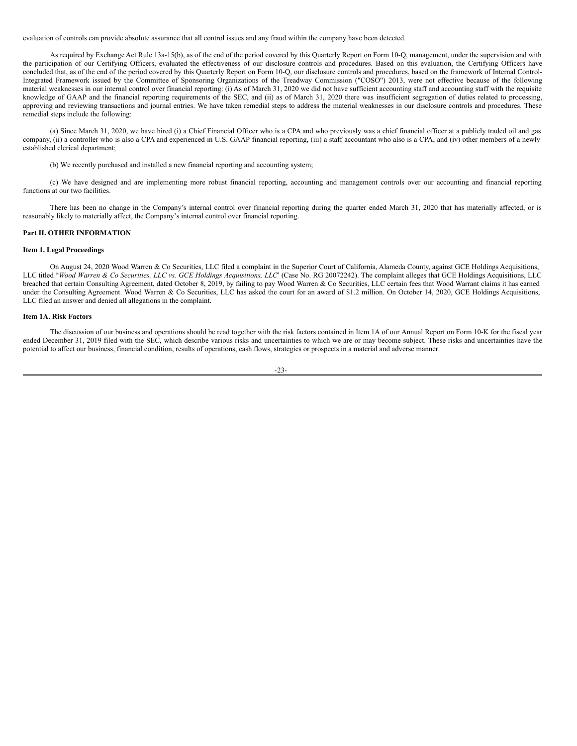evaluation of controls can provide absolute assurance that all control issues and any fraud within the company have been detected.

As required by Exchange Act Rule 13a-15(b), as of the end of the period covered by this Quarterly Report on Form 10-Q, management, under the supervision and with the participation of our Certifying Officers, evaluated the effectiveness of our disclosure controls and procedures. Based on this evaluation, the Certifying Officers have concluded that, as of the end of the period covered by this Quarterly Report on Form 10-Q, our disclosure controls and procedures, based on the framework of Internal Control-Integrated Framework issued by the Committee of Sponsoring Organizations of the Treadway Commission ("COSO") 2013, were not effective because of the following material weaknesses in our internal control over financial reporting: (i) As of March 31, 2020 we did not have sufficient accounting staff and accounting staff with the requisite knowledge of GAAP and the financial reporting requirements of the SEC, and (ii) as of March 31, 2020 there was insufficient segregation of duties related to processing, approving and reviewing transactions and journal entries. We have taken remedial steps to address the material weaknesses in our disclosure controls and procedures. These remedial steps include the following:

(a) Since March 31, 2020, we have hired (i) a Chief Financial Officer who is a CPA and who previously was a chief financial officer at a publicly traded oil and gas company, (ii) a controller who is also a CPA and experienced in U.S. GAAP financial reporting, (iii) a staff accountant who also is a CPA, and (iv) other members of a newly established clerical department;

(b) We recently purchased and installed a new financial reporting and accounting system;

(c) We have designed and are implementing more robust financial reporting, accounting and management controls over our accounting and financial reporting functions at our two facilities.

There has been no change in the Company's internal control over financial reporting during the quarter ended March 31, 2020 that has materially affected, or is reasonably likely to materially affect, the Company's internal control over financial reporting.

#### **Part II. OTHER INFORMATION**

### **Item 1. Legal Proceedings**

On August 24, 2020 Wood Warren & Co Securities, LLC filed a complaint in the Superior Court of California, Alameda County, against GCE Holdings Acquisitions, LLC titled "Wood Warren & Co Securities, LLC vs. GCE Holdings Acquisitions, LLC' (Case No. RG 20072242). The complaint alleges that GCE Holdings Acquisitions, LLC breached that certain Consulting Agreement, dated October 8, 2019, by failing to pay Wood Warren & Co Securities, LLC certain fees that Wood Warrant claims it has earned under the Consulting Agreement. Wood Warren & Co Securities, LLC has asked the court for an award of \$1.2 million. On October 14, 2020, GCE Holdings Acquisitions, LLC filed an answer and denied all allegations in the complaint.

### **Item 1A. Risk Factors**

The discussion of our business and operations should be read together with the risk factors contained in Item 1A of our Annual Report on Form 10-K for the fiscal year ended December 31, 2019 filed with the SEC, which describe various risks and uncertainties to which we are or may become subject. These risks and uncertainties have the potential to affect our business, financial condition, results of operations, cash flows, strategies or prospects in a material and adverse manner.

-23-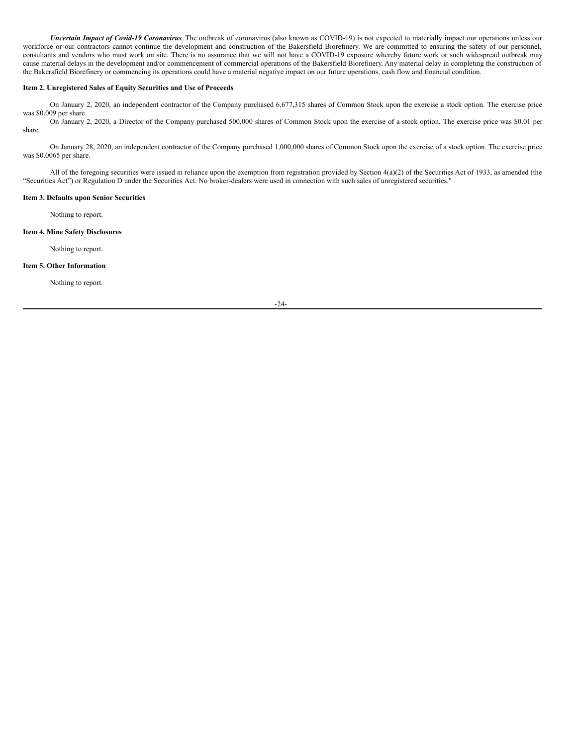*Uncertain Impact of Covid-19 Coronavirus*. The outbreak of coronavirus (also known as COVID-19) is not expected to materially impact our operations unless our workforce or our contractors cannot continue the development and construction of the Bakersfield Biorefinery. We are committed to ensuring the safety of our personnel, consultants and vendors who must work on site. There is no assurance that we will not have a COVID-19 exposure whereby future work or such widespread outbreak may cause material delays in the development and/or commencement of commercial operations of the Bakersfield Biorefinery. Any material delay in completing the construction of the Bakersfield Biorefinery or commencing its operations could have a material negative impact on our future operations, cash flow and financial condition.

# **Item 2. Unregistered Sales of Equity Securities and Use of Proceeds**

On January 2, 2020, an independent contractor of the Company purchased 6,677,315 shares of Common Stock upon the exercise a stock option. The exercise price was \$0.009 per share.

On January 2, 2020, a Director of the Company purchased 500,000 shares of Common Stock upon the exercise of a stock option. The exercise price was \$0.01 per share.

On January 28, 2020, an independent contractor of the Company purchased 1,000,000 shares of Common Stock upon the exercise of a stock option. The exercise price was \$0.0065 per share.

All of the foregoing securities were issued in reliance upon the exemption from registration provided by Section 4(a)(2) of the Securities Act of 1933, as amended (the "Securities Act") or Regulation D under the Securities Act. No broker-dealers were used in connection with such sales of unregistered securities."

#### **Item 3. Defaults upon Senior Securities**

Nothing to report.

### **Item 4. Mine Safety Disclosures**

Nothing to report.

#### **Item 5. Other Information**

Nothing to report.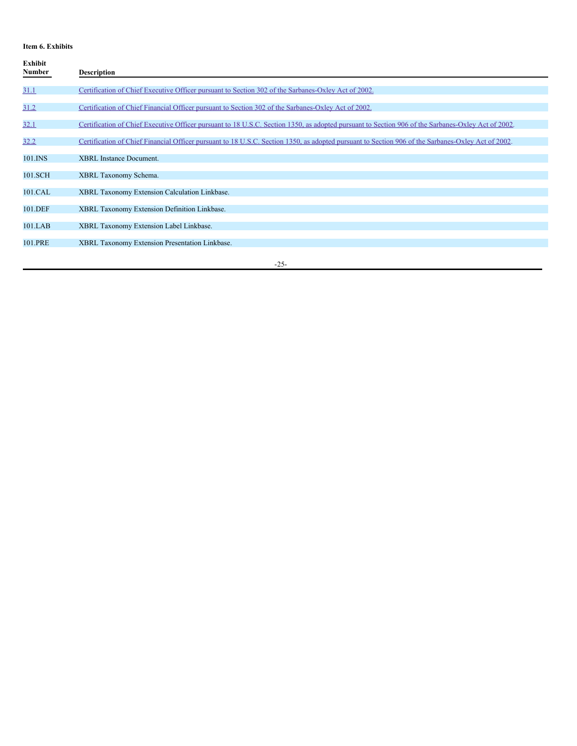# **Item 6. Exhibits**

| Exhibit<br>Number | <b>Description</b>                                                                                                                                 |
|-------------------|----------------------------------------------------------------------------------------------------------------------------------------------------|
|                   |                                                                                                                                                    |
| 31.1              | Certification of Chief Executive Officer pursuant to Section 302 of the Sarbanes-Oxley Act of 2002.                                                |
| 31.2              | Certification of Chief Financial Officer pursuant to Section 302 of the Sarbanes-Oxley Act of 2002.                                                |
| 32.1              | Certification of Chief Executive Officer pursuant to 18 U.S.C. Section 1350, as adopted pursuant to Section 906 of the Sarbanes-Oxley Act of 2002. |
| 32.2              | Certification of Chief Financial Officer pursuant to 18 U.S.C. Section 1350, as adopted pursuant to Section 906 of the Sarbanes-Oxley Act of 2002. |
| 101.INS           | <b>XBRL</b> Instance Document.                                                                                                                     |
| 101.SCH           | XBRL Taxonomy Schema.                                                                                                                              |
| 101.CAL           | XBRL Taxonomy Extension Calculation Linkbase.                                                                                                      |
| 101.DEF           | XBRL Taxonomy Extension Definition Linkbase.                                                                                                       |
| 101.LAB           | XBRL Taxonomy Extension Label Linkbase.                                                                                                            |
| 101.PRE           | XBRL Taxonomy Extension Presentation Linkbase.                                                                                                     |
|                   |                                                                                                                                                    |

# -25-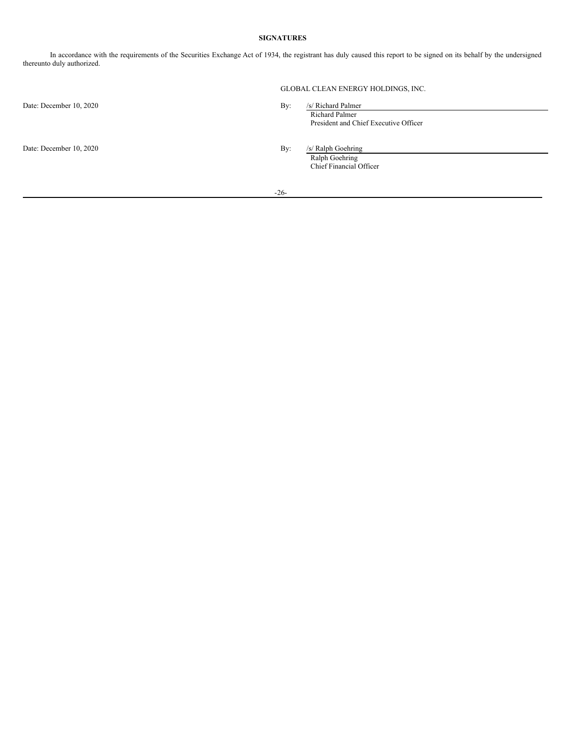# **SIGNATURES**

In accordance with the requirements of the Securities Exchange Act of 1934, the registrant has duly caused this report to be signed on its behalf by the undersigned thereunto duly authorized.

|                         |        | GLOBAL CLEAN ENERGY HOLDINGS, INC.                                                   |
|-------------------------|--------|--------------------------------------------------------------------------------------|
| Date: December 10, 2020 | By:    | /s/ Richard Palmer<br><b>Richard Palmer</b><br>President and Chief Executive Officer |
| Date: December 10, 2020 | By:    | /s/ Ralph Goehring<br>Ralph Goehring<br>Chief Financial Officer                      |
|                         | $-26-$ |                                                                                      |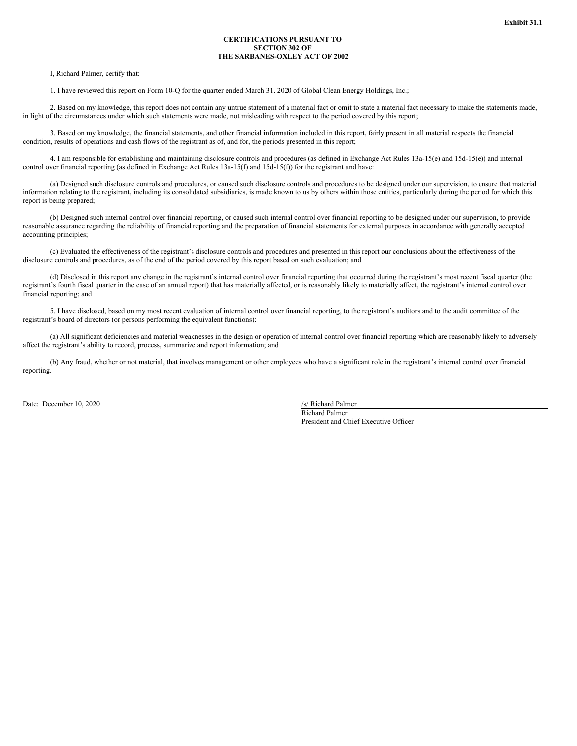### **CERTIFICATIONS PURSUANT TO SECTION 302 OF THE SARBANES-OXLEY ACT OF 2002**

<span id="page-27-0"></span>I, Richard Palmer, certify that:

1. I have reviewed this report on Form 10-Q for the quarter ended March 31, 2020 of Global Clean Energy Holdings, Inc.;

2. Based on my knowledge, this report does not contain any untrue statement of a material fact or omit to state a material fact necessary to make the statements made, in light of the circumstances under which such statements were made, not misleading with respect to the period covered by this report;

3. Based on my knowledge, the financial statements, and other financial information included in this report, fairly present in all material respects the financial condition, results of operations and cash flows of the registrant as of, and for, the periods presented in this report;

4. I am responsible for establishing and maintaining disclosure controls and procedures (as defined in Exchange Act Rules 13a-15(e) and 15d-15(e)) and internal control over financial reporting (as defined in Exchange Act Rules 13a-15(f) and 15d-15(f)) for the registrant and have:

(a) Designed such disclosure controls and procedures, or caused such disclosure controls and procedures to be designed under our supervision, to ensure that material information relating to the registrant, including its consolidated subsidiaries, is made known to us by others within those entities, particularly during the period for which this report is being prepared;

(b) Designed such internal control over financial reporting, or caused such internal control over financial reporting to be designed under our supervision, to provide reasonable assurance regarding the reliability of financial reporting and the preparation of financial statements for external purposes in accordance with generally accepted accounting principles;

(c) Evaluated the effectiveness of the registrant's disclosure controls and procedures and presented in this report our conclusions about the effectiveness of the disclosure controls and procedures, as of the end of the period covered by this report based on such evaluation; and

(d) Disclosed in this report any change in the registrant's internal control over financial reporting that occurred during the registrant's most recent fiscal quarter (the registrant's fourth fiscal quarter in the case of an annual report) that has materially affected, or is reasonably likely to materially affect, the registrant's internal control over financial reporting; and

5. I have disclosed, based on my most recent evaluation of internal control over financial reporting, to the registrant's auditors and to the audit committee of the registrant's board of directors (or persons performing the equivalent functions):

(a) All significant deficiencies and material weaknesses in the design or operation of internal control over financial reporting which are reasonably likely to adversely affect the registrant's ability to record, process, summarize and report information; and

(b) Any fraud, whether or not material, that involves management or other employees who have a significant role in the registrant's internal control over financial reporting.

Date: December 10, 2020 /s/ Richard Palmer

Richard Palmer President and Chief Executive Officer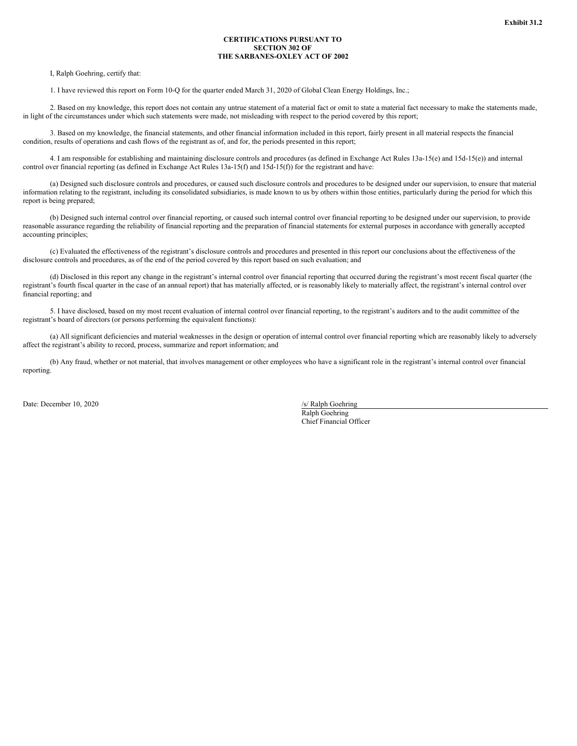### **CERTIFICATIONS PURSUANT TO SECTION 302 OF THE SARBANES-OXLEY ACT OF 2002**

<span id="page-28-0"></span>I, Ralph Goehring, certify that:

1. I have reviewed this report on Form 10-Q for the quarter ended March 31, 2020 of Global Clean Energy Holdings, Inc.;

2. Based on my knowledge, this report does not contain any untrue statement of a material fact or omit to state a material fact necessary to make the statements made, in light of the circumstances under which such statements were made, not misleading with respect to the period covered by this report;

3. Based on my knowledge, the financial statements, and other financial information included in this report, fairly present in all material respects the financial condition, results of operations and cash flows of the registrant as of, and for, the periods presented in this report;

4. I am responsible for establishing and maintaining disclosure controls and procedures (as defined in Exchange Act Rules 13a-15(e) and 15d-15(e)) and internal control over financial reporting (as defined in Exchange Act Rules 13a-15(f) and 15d-15(f)) for the registrant and have:

(a) Designed such disclosure controls and procedures, or caused such disclosure controls and procedures to be designed under our supervision, to ensure that material information relating to the registrant, including its consolidated subsidiaries, is made known to us by others within those entities, particularly during the period for which this report is being prepared;

(b) Designed such internal control over financial reporting, or caused such internal control over financial reporting to be designed under our supervision, to provide reasonable assurance regarding the reliability of financial reporting and the preparation of financial statements for external purposes in accordance with generally accepted accounting principles;

(c) Evaluated the effectiveness of the registrant's disclosure controls and procedures and presented in this report our conclusions about the effectiveness of the disclosure controls and procedures, as of the end of the period covered by this report based on such evaluation; and

(d) Disclosed in this report any change in the registrant's internal control over financial reporting that occurred during the registrant's most recent fiscal quarter (the registrant's fourth fiscal quarter in the case of an annual report) that has materially affected, or is reasonably likely to materially affect, the registrant's internal control over financial reporting; and

5. I have disclosed, based on my most recent evaluation of internal control over financial reporting, to the registrant's auditors and to the audit committee of the registrant's board of directors (or persons performing the equivalent functions):

(a) All significant deficiencies and material weaknesses in the design or operation of internal control over financial reporting which are reasonably likely to adversely affect the registrant's ability to record, process, summarize and report information; and

(b) Any fraud, whether or not material, that involves management or other employees who have a significant role in the registrant's internal control over financial reporting.

Date: December 10, 2020 /s/ Ralph Goehring

Ralph Goehring Chief Financial Officer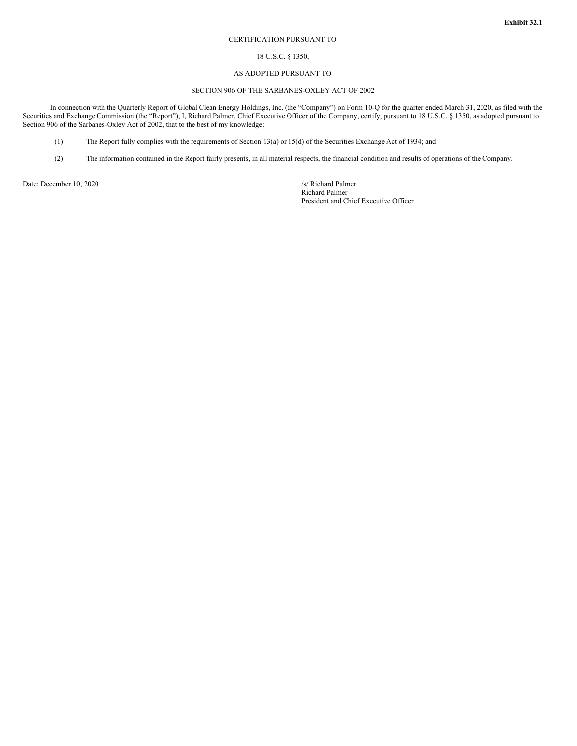#### CERTIFICATION PURSUANT TO

### 18 U.S.C. § 1350,

### AS ADOPTED PURSUANT TO

### SECTION 906 OF THE SARBANES-OXLEY ACT OF 2002

<span id="page-29-0"></span>In connection with the Quarterly Report of Global Clean Energy Holdings, Inc. (the "Company") on Form 10-Q for the quarter ended March 31, 2020, as filed with the Securities and Exchange Commission (the "Report"), I, Richard Palmer, Chief Executive Officer of the Company, certify, pursuant to 18 U.S.C. § 1350, as adopted pursuant to Section 906 of the Sarbanes-Oxley Act of 2002, that to the best of my knowledge:

- (1) The Report fully complies with the requirements of Section 13(a) or 15(d) of the Securities Exchange Act of 1934; and
- (2) The information contained in the Report fairly presents, in all material respects, the financial condition and results of operations of the Company.

Date: December 10, 2020 /s/ Richard Palmer

Richard Palmer President and Chief Executive Officer